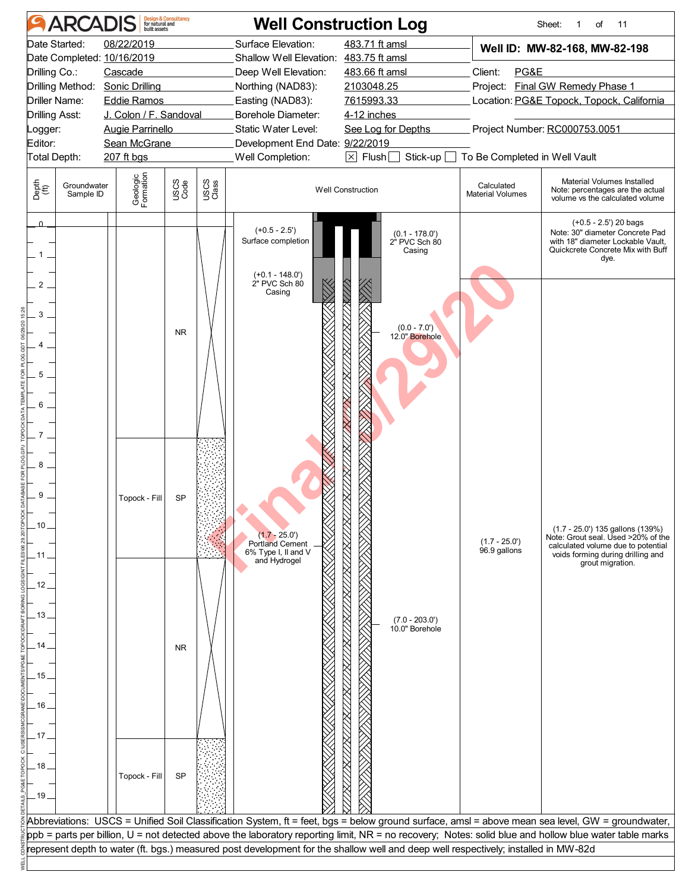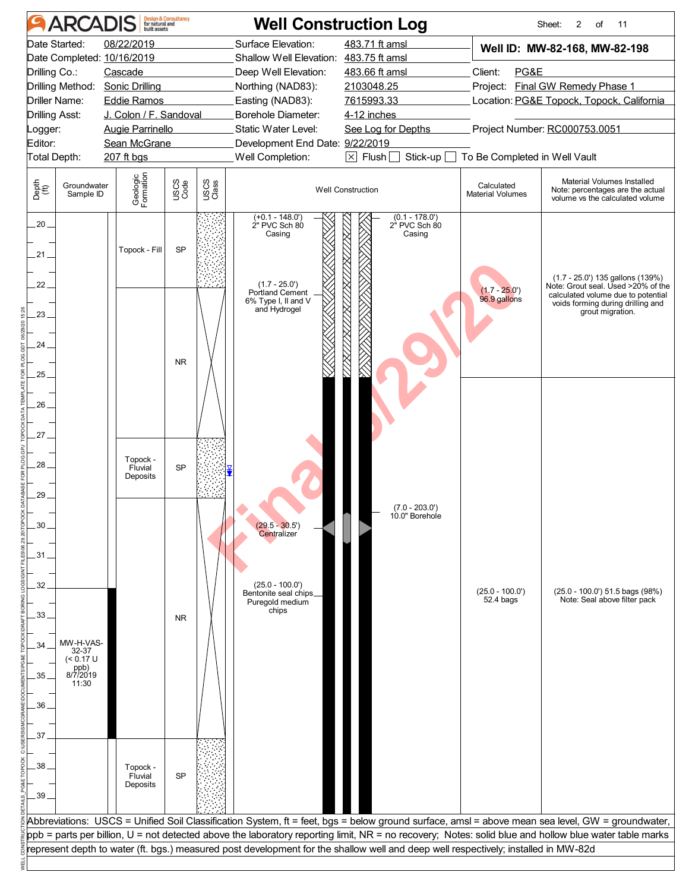|                       | <b>ARCADIS</b>                | <b>Design &amp; Consultancy</b><br>for natural and<br>built assets |              |               |                                                           | <b>Well Construction Log</b>                                                                                                       |                                       | Sheet:<br>2<br>of<br>11                                                                                                                                                                                                                                                                                  |  |
|-----------------------|-------------------------------|--------------------------------------------------------------------|--------------|---------------|-----------------------------------------------------------|------------------------------------------------------------------------------------------------------------------------------------|---------------------------------------|----------------------------------------------------------------------------------------------------------------------------------------------------------------------------------------------------------------------------------------------------------------------------------------------------------|--|
|                       | Date Started:                 | 08/22/2019                                                         |              |               | Surface Elevation:                                        | 483.71 ft amsl                                                                                                                     |                                       | Well ID: MW-82-168, MW-82-198                                                                                                                                                                                                                                                                            |  |
|                       |                               | Date Completed: 10/16/2019                                         |              |               | Shallow Well Elevation: 483.75 ft amsl                    |                                                                                                                                    |                                       |                                                                                                                                                                                                                                                                                                          |  |
| Drilling Co.:         |                               | Cascade                                                            |              |               | Deep Well Elevation:                                      | 483.66 ft amsl                                                                                                                     | Client:<br>PG&E                       |                                                                                                                                                                                                                                                                                                          |  |
|                       | Drilling Method:              | <b>Sonic Drilling</b>                                              |              |               | Northing (NAD83):                                         | 2103048.25                                                                                                                         |                                       | Project: Final GW Remedy Phase 1                                                                                                                                                                                                                                                                         |  |
|                       | <b>Driller Name:</b>          | <b>Eddie Ramos</b>                                                 |              |               | Easting (NAD83):                                          | 7615993.33                                                                                                                         |                                       | Location: PG&E Topock, Topock, California                                                                                                                                                                                                                                                                |  |
| <b>Drilling Asst:</b> |                               | J. Colon / F. Sandoval                                             |              |               | Borehole Diameter:                                        | 4-12 inches                                                                                                                        |                                       |                                                                                                                                                                                                                                                                                                          |  |
| _ogger:               |                               | <b>Augie Parrinello</b>                                            |              |               | Static Water Level:                                       | See Log for Depths                                                                                                                 | Project Number: RC000753.0051         |                                                                                                                                                                                                                                                                                                          |  |
| Editor:               |                               | Sean McGrane                                                       |              |               | Development End Date: 9/22/2019                           |                                                                                                                                    |                                       |                                                                                                                                                                                                                                                                                                          |  |
| Total Depth:          |                               | 207 ft bgs                                                         |              |               | Well Completion:                                          | Stick-up<br>$\boxtimes$ Flush $\Box$<br>$\sim$                                                                                     | To Be Completed in Well Vault         |                                                                                                                                                                                                                                                                                                          |  |
| Depth<br>(ft)         | Groundwater<br>Sample ID      | Geologic<br>Formation                                              | USCS<br>Code | USCS<br>Class |                                                           | <b>Well Construction</b>                                                                                                           | Calculated<br><b>Material Volumes</b> | Material Volumes Installed<br>Note: percentages are the actual<br>volume vs the calculated volume                                                                                                                                                                                                        |  |
| $20 -$                |                               |                                                                    |              |               | $(+0.1 - 148.0)$<br>2" PVC Sch 80<br>Casing               | $(0.1 - 178.0')$<br>2" PVC Sch 80<br>Casing                                                                                        |                                       |                                                                                                                                                                                                                                                                                                          |  |
| $.21 -$               |                               | Topock - Fill                                                      | SP           |               |                                                           |                                                                                                                                    |                                       |                                                                                                                                                                                                                                                                                                          |  |
| 22                    |                               |                                                                    |              |               | $(1.7 - 25.0')$<br>Portland Cement<br>6% Type I, II and V |                                                                                                                                    | $(1.7 - 25.0)$<br>96.9 gallons        | $(1.7 - 25.0')$ 135 gallons $(139%)$<br>Note: Grout seal. Used >20% of the<br>calculated volume due to potential<br>voids forming during drilling and                                                                                                                                                    |  |
| $23 -$                |                               |                                                                    |              |               | and Hydrogel                                              |                                                                                                                                    |                                       | grout migration.                                                                                                                                                                                                                                                                                         |  |
| 24                    |                               |                                                                    | <b>NR</b>    |               |                                                           |                                                                                                                                    |                                       |                                                                                                                                                                                                                                                                                                          |  |
| 25 <sub>1</sub>       |                               |                                                                    |              |               |                                                           |                                                                                                                                    |                                       |                                                                                                                                                                                                                                                                                                          |  |
| 26                    |                               |                                                                    |              |               |                                                           |                                                                                                                                    |                                       |                                                                                                                                                                                                                                                                                                          |  |
| .27 .                 |                               | Topock -                                                           |              |               |                                                           |                                                                                                                                    |                                       |                                                                                                                                                                                                                                                                                                          |  |
| 28                    |                               | Fluvial<br>Deposits                                                | <b>SP</b>    |               |                                                           |                                                                                                                                    |                                       |                                                                                                                                                                                                                                                                                                          |  |
| 29                    |                               |                                                                    |              |               |                                                           | $(7.0 - 203.0')$<br>10.0" Borehole                                                                                                 |                                       |                                                                                                                                                                                                                                                                                                          |  |
| .30                   |                               |                                                                    |              |               | $(29.5 - 30.5')$<br>Centralizer                           |                                                                                                                                    |                                       |                                                                                                                                                                                                                                                                                                          |  |
| 31                    |                               |                                                                    |              |               |                                                           |                                                                                                                                    |                                       |                                                                                                                                                                                                                                                                                                          |  |
| 32                    |                               |                                                                    |              |               | $(25.0 - 100.0')$<br>Bentonite seal chips                 |                                                                                                                                    | $(25.0 - 100.0)$                      | (25.0 - 100.0') 51.5 bags (98%)                                                                                                                                                                                                                                                                          |  |
| .33.                  |                               |                                                                    | <b>NR</b>    |               | Puregold medium<br>chips                                  |                                                                                                                                    | 52.4 bags                             | Note: Seal above filter pack                                                                                                                                                                                                                                                                             |  |
| 34                    | MW-H-VAS-<br>32-37            |                                                                    |              |               |                                                           |                                                                                                                                    |                                       |                                                                                                                                                                                                                                                                                                          |  |
| 35                    | (< 0.17 U<br>ppb)<br>8/7/2019 |                                                                    |              |               |                                                           |                                                                                                                                    |                                       |                                                                                                                                                                                                                                                                                                          |  |
| .36                   | 11:30                         |                                                                    |              |               |                                                           |                                                                                                                                    |                                       |                                                                                                                                                                                                                                                                                                          |  |
| 37                    |                               |                                                                    |              |               |                                                           |                                                                                                                                    |                                       |                                                                                                                                                                                                                                                                                                          |  |
| 38                    |                               | Topock -                                                           |              |               |                                                           |                                                                                                                                    |                                       |                                                                                                                                                                                                                                                                                                          |  |
| .39                   |                               | Fluvial<br>Deposits                                                | SP           |               |                                                           |                                                                                                                                    |                                       |                                                                                                                                                                                                                                                                                                          |  |
|                       |                               |                                                                    |              |               |                                                           |                                                                                                                                    |                                       |                                                                                                                                                                                                                                                                                                          |  |
|                       |                               |                                                                    |              |               |                                                           |                                                                                                                                    |                                       | Abbreviations: USCS = Unified Soil Classification System, ft = feet, bgs = below ground surface, amsl = above mean sea level, GW = groundwater,<br>ppb = parts per billion, U = not detected above the laboratory reporting limit, NR = no recovery; Notes: solid blue and hollow blue water table marks |  |
|                       |                               |                                                                    |              |               |                                                           | represent depth to water (ft. bgs.) measured post development for the shallow well and deep well respectively; installed in MW-82d |                                       |                                                                                                                                                                                                                                                                                                          |  |
|                       |                               |                                                                    |              |               |                                                           |                                                                                                                                    |                                       |                                                                                                                                                                                                                                                                                                          |  |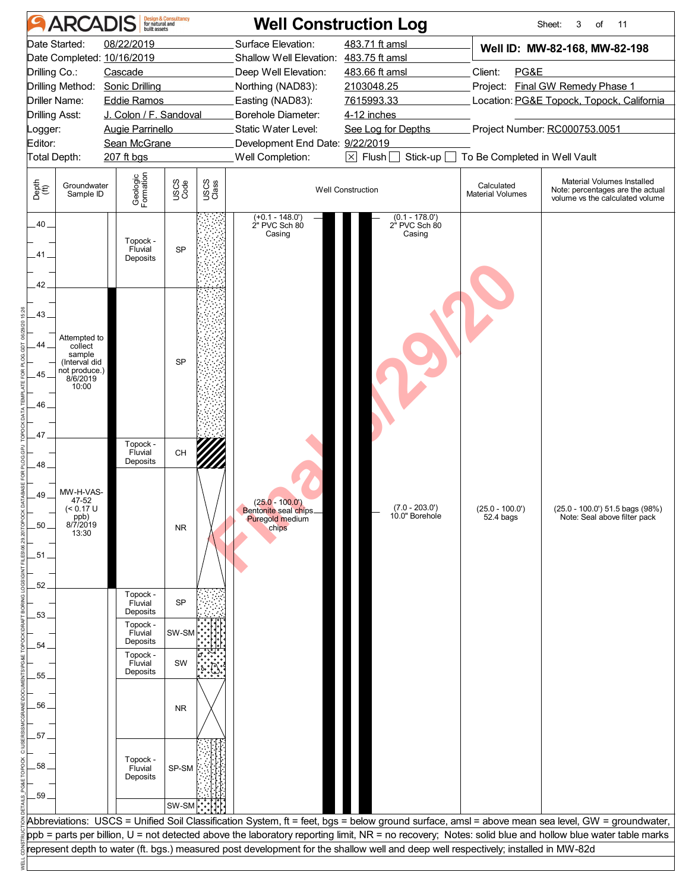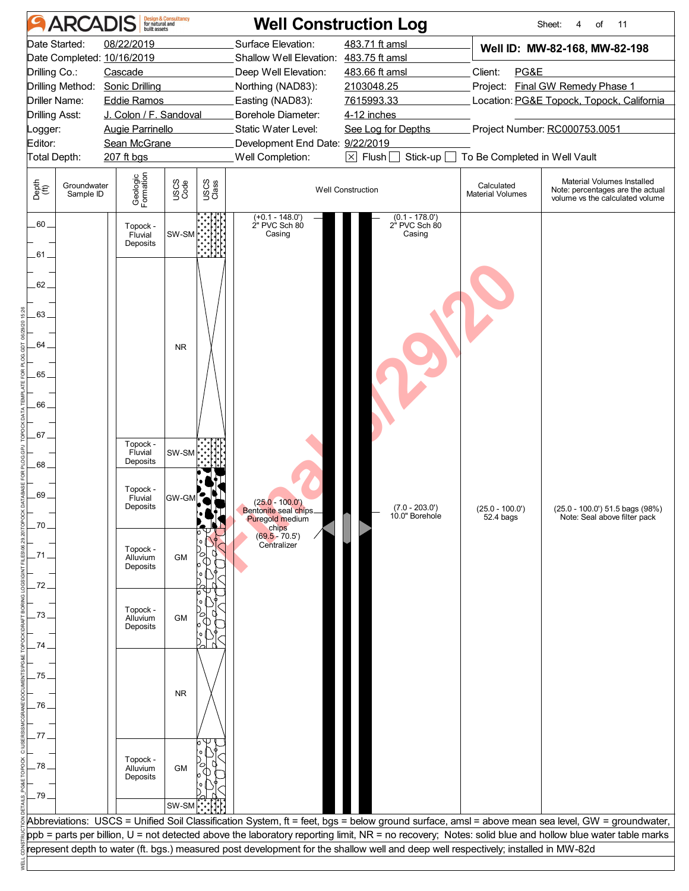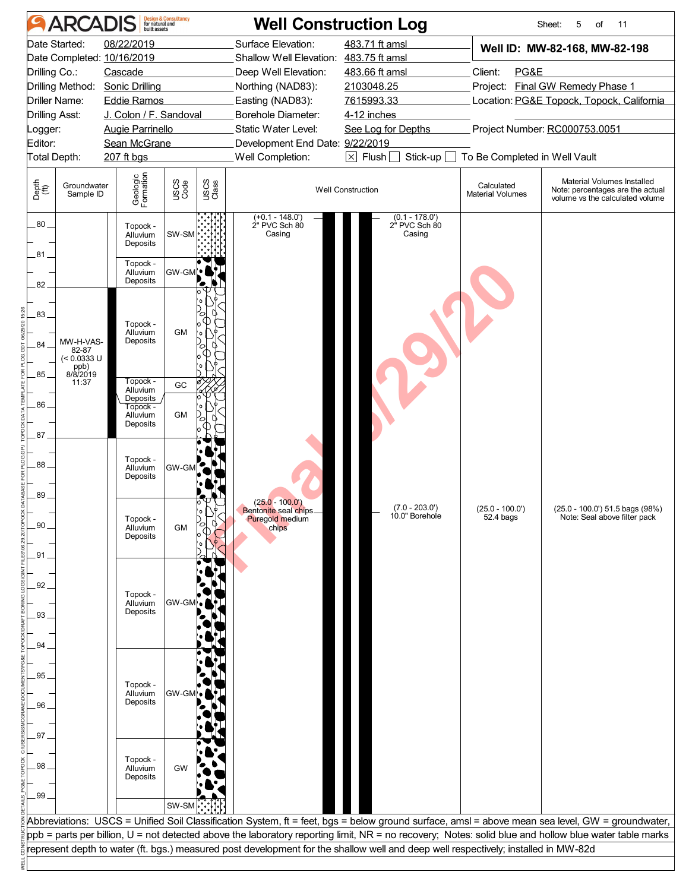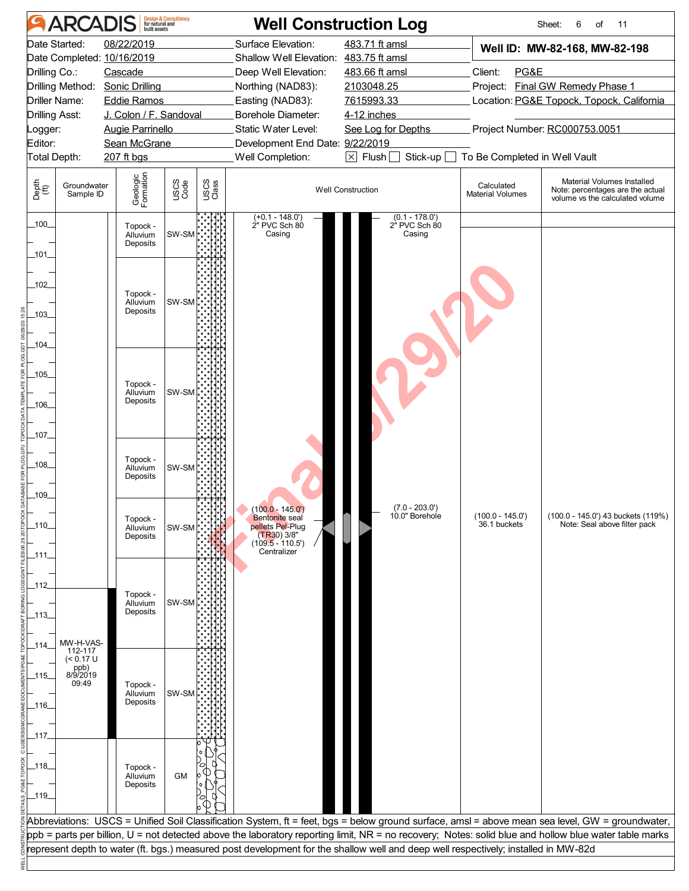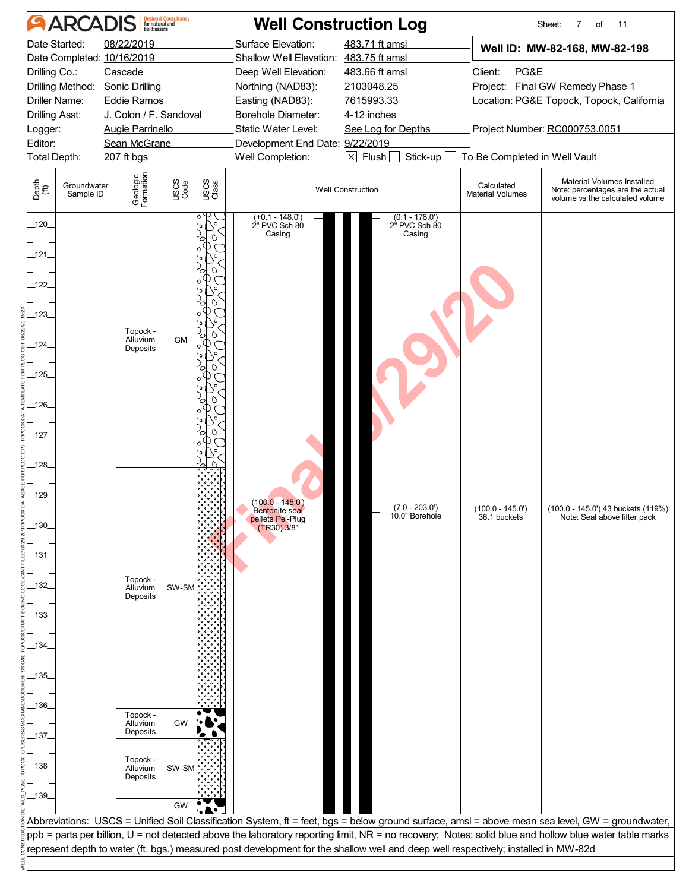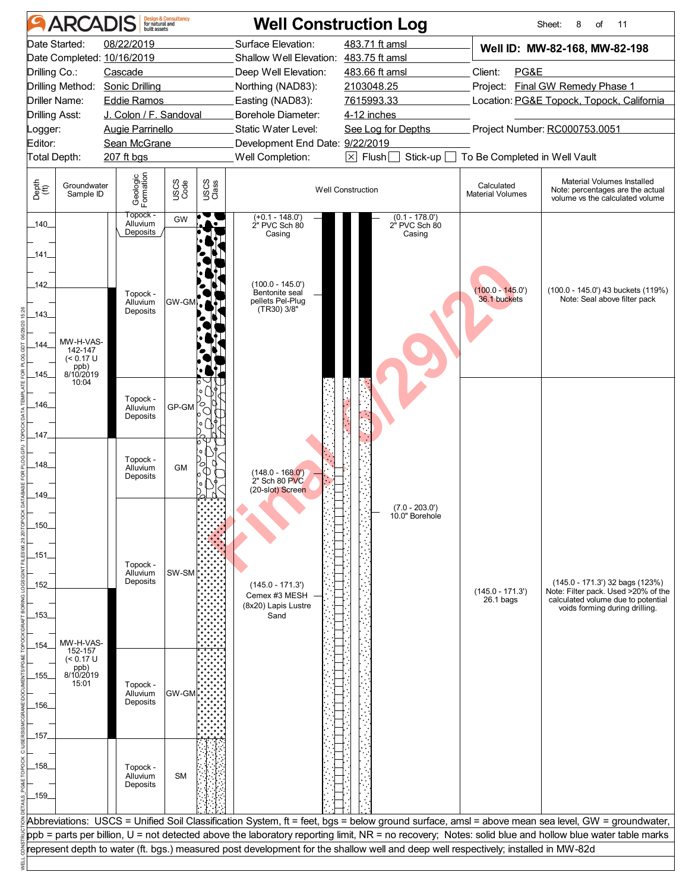|                | <b>ARCADIS</b>           |                            | <b>Design &amp; Consultancy</b><br>for natural and |               | <b>Well Construction Log</b>                                                                                                       |                          |                                                           |                                       | Sheet:<br>8<br>of<br>11                                                                                                                               |  |
|----------------|--------------------------|----------------------------|----------------------------------------------------|---------------|------------------------------------------------------------------------------------------------------------------------------------|--------------------------|-----------------------------------------------------------|---------------------------------------|-------------------------------------------------------------------------------------------------------------------------------------------------------|--|
|                | Date Started:            | 08/22/2019                 |                                                    |               | Surface Elevation:                                                                                                                 |                          | 483.71 ft amsl                                            |                                       | Well ID: MW-82-168, MW-82-198                                                                                                                         |  |
|                |                          | Date Completed: 10/16/2019 |                                                    |               | Shallow Well Elevation: 483.75 ft amsl                                                                                             |                          |                                                           |                                       |                                                                                                                                                       |  |
| Drilling Co.:  |                          | Cascade                    |                                                    |               | Deep Well Elevation:                                                                                                               |                          | 483.66 ft amsl                                            | Client:<br>PG&E                       |                                                                                                                                                       |  |
|                | Drilling Method:         | <b>Sonic Drilling</b>      |                                                    |               | Northing (NAD83):                                                                                                                  |                          | 2103048.25                                                |                                       | Project: Final GW Remedy Phase 1                                                                                                                      |  |
|                | Driller Name:            | <b>Eddie Ramos</b>         |                                                    |               | Easting (NAD83):                                                                                                                   |                          | 7615993.33                                                |                                       | Location: PG&E Topock, Topock, California                                                                                                             |  |
| Drilling Asst: |                          | J. Colon / F. Sandoval     |                                                    |               | Borehole Diameter:                                                                                                                 | 4-12 inches              |                                                           |                                       |                                                                                                                                                       |  |
| ogger:         |                          | <b>Augie Parrinello</b>    |                                                    |               | Static Water Level:                                                                                                                |                          | See Log for Depths                                        |                                       | Project Number: RC000753.0051                                                                                                                         |  |
| Editor:        | Total Depth:             | Sean McGrane               |                                                    |               | Development End Date: 9/22/2019<br>Well Completion:                                                                                |                          | Stick-up $\square$                                        |                                       |                                                                                                                                                       |  |
|                |                          | 207 ft bgs                 |                                                    |               |                                                                                                                                    |                          | $\boxtimes$ Flush $\Box$<br>To Be Completed in Well Vault |                                       |                                                                                                                                                       |  |
| Depth<br>(ft)  | Groundwater<br>Sample ID | Geologic<br>Formation      | USCS<br>Code                                       | USCS<br>Class |                                                                                                                                    | <b>Well Construction</b> |                                                           | Calculated<br><b>Material Volumes</b> | Material Volumes Installed<br>Note: percentages are the actual<br>volume vs the calculated volume                                                     |  |
| $-140$         |                          | Topock -<br>Alluvium       | GW                                                 |               | $(+0.1 - 148.0)$<br>2" PVC Sch 80                                                                                                  |                          | $(0.1 - 178.0')$<br>2" PVC Sch 80                         |                                       |                                                                                                                                                       |  |
|                |                          | Deposits                   |                                                    |               | Casing                                                                                                                             |                          | Casing                                                    |                                       |                                                                                                                                                       |  |
| 141            |                          |                            |                                                    |               |                                                                                                                                    |                          |                                                           |                                       |                                                                                                                                                       |  |
|                |                          |                            |                                                    |               |                                                                                                                                    |                          |                                                           |                                       |                                                                                                                                                       |  |
| 142            |                          |                            |                                                    |               | $(100.0 - 145.0)$                                                                                                                  |                          |                                                           | $(100.0 - 145.0')$                    |                                                                                                                                                       |  |
|                |                          | Topock -<br>Alluvium       | GW-GM                                              |               | Bentonite seal<br>pellets Pel-Plug                                                                                                 |                          |                                                           | 36.1 buckets                          | (100.0 - 145.0') 43 buckets (119%)<br>Note: Seal above filter pack                                                                                    |  |
| $-143$         |                          | Deposits                   |                                                    |               | (TR30) 3/8"                                                                                                                        |                          |                                                           |                                       |                                                                                                                                                       |  |
|                |                          |                            |                                                    |               |                                                                                                                                    |                          |                                                           |                                       |                                                                                                                                                       |  |
| 144            | MW-H-VAS-<br>142-147     |                            |                                                    |               |                                                                                                                                    |                          |                                                           |                                       |                                                                                                                                                       |  |
|                | $(< 0.17$ U              |                            |                                                    |               |                                                                                                                                    |                          |                                                           |                                       |                                                                                                                                                       |  |
| 145            | ppb)<br>8/10/2019        |                            |                                                    |               |                                                                                                                                    |                          |                                                           |                                       |                                                                                                                                                       |  |
|                | 10:04                    |                            |                                                    |               |                                                                                                                                    |                          |                                                           |                                       |                                                                                                                                                       |  |
| _146_          |                          | Topock -<br>Alluvium       | GP-GM                                              | 0             |                                                                                                                                    |                          |                                                           |                                       |                                                                                                                                                       |  |
|                |                          | Deposits                   |                                                    |               |                                                                                                                                    |                          |                                                           |                                       |                                                                                                                                                       |  |
| _147_          |                          |                            |                                                    |               |                                                                                                                                    |                          |                                                           |                                       |                                                                                                                                                       |  |
|                |                          |                            |                                                    |               |                                                                                                                                    |                          |                                                           |                                       |                                                                                                                                                       |  |
| 148            |                          | Topock -<br>Alluvium       | GM                                                 | Ο             |                                                                                                                                    |                          |                                                           |                                       |                                                                                                                                                       |  |
|                |                          | Deposits                   |                                                    |               | (148.0 - 168.0')<br>2" Sch 80 PVC                                                                                                  |                          |                                                           |                                       |                                                                                                                                                       |  |
| 149            |                          |                            |                                                    |               | (20-slot) Screen                                                                                                                   |                          |                                                           |                                       |                                                                                                                                                       |  |
|                |                          |                            |                                                    |               |                                                                                                                                    |                          | $(7.0 - 203.0')$                                          |                                       |                                                                                                                                                       |  |
| $-150$         |                          |                            |                                                    |               |                                                                                                                                    |                          | 10.0" Borehole                                            |                                       |                                                                                                                                                       |  |
|                |                          |                            |                                                    |               |                                                                                                                                    |                          |                                                           |                                       |                                                                                                                                                       |  |
| _151_          |                          |                            |                                                    |               |                                                                                                                                    |                          |                                                           |                                       |                                                                                                                                                       |  |
|                |                          | Topock -<br>Alluvium       | SW-SM                                              |               |                                                                                                                                    |                          |                                                           |                                       |                                                                                                                                                       |  |
| 152            |                          | Deposits                   |                                                    |               | $(145.0 - 171.3')$                                                                                                                 |                          |                                                           |                                       | (145.0 - 171.3') 32 bags (123%)                                                                                                                       |  |
|                |                          |                            |                                                    |               | Cemex #3 MESH                                                                                                                      |                          |                                                           | $(145.0 - 171.3')$<br>$26.1$ bags     | Note: Filter pack. Used >20% of the<br>calculated volume due to potential                                                                             |  |
| $-153-$        |                          |                            |                                                    |               | (8x20) Lapis Lustre<br>Sand                                                                                                        |                          |                                                           |                                       | voids forming during drilling.                                                                                                                        |  |
|                |                          |                            |                                                    |               |                                                                                                                                    |                          |                                                           |                                       |                                                                                                                                                       |  |
| $-154$         | MW-H-VAS-                |                            |                                                    |               |                                                                                                                                    |                          |                                                           |                                       |                                                                                                                                                       |  |
|                | 152-157<br>(< 0.17 U     |                            |                                                    |               |                                                                                                                                    |                          |                                                           |                                       |                                                                                                                                                       |  |
| $-155$         | ppb)<br>8/10/2019        |                            |                                                    |               |                                                                                                                                    |                          |                                                           |                                       |                                                                                                                                                       |  |
|                | 15:01                    | Topock -<br>Alluvium       | <b>GW-GM</b>                                       |               |                                                                                                                                    |                          |                                                           |                                       |                                                                                                                                                       |  |
| _156_          |                          | Deposits                   |                                                    |               |                                                                                                                                    |                          |                                                           |                                       |                                                                                                                                                       |  |
|                |                          |                            |                                                    |               |                                                                                                                                    |                          |                                                           |                                       |                                                                                                                                                       |  |
| .157.          |                          |                            |                                                    |               |                                                                                                                                    |                          |                                                           |                                       |                                                                                                                                                       |  |
|                |                          |                            |                                                    |               |                                                                                                                                    |                          |                                                           |                                       |                                                                                                                                                       |  |
| _158_          |                          | Topock -                   |                                                    |               |                                                                                                                                    |                          |                                                           |                                       |                                                                                                                                                       |  |
|                |                          | Alluvium                   | <b>SM</b>                                          |               |                                                                                                                                    |                          |                                                           |                                       |                                                                                                                                                       |  |
| $-159$         |                          | Deposits                   |                                                    |               |                                                                                                                                    |                          |                                                           |                                       |                                                                                                                                                       |  |
|                |                          |                            |                                                    |               |                                                                                                                                    |                          |                                                           |                                       |                                                                                                                                                       |  |
|                |                          |                            |                                                    |               |                                                                                                                                    |                          |                                                           |                                       | Abbreviations: USCS = Unified Soil Classification System, ft = feet, bgs = below ground surface, amsl = above mean sea level, GW = groundwater,       |  |
|                |                          |                            |                                                    |               |                                                                                                                                    |                          |                                                           |                                       | ppb = parts per billion, U = not detected above the laboratory reporting limit, NR = no recovery; Notes: solid blue and hollow blue water table marks |  |
|                |                          |                            |                                                    |               | represent depth to water (ft. bgs.) measured post development for the shallow well and deep well respectively; installed in MW-82d |                          |                                                           |                                       |                                                                                                                                                       |  |
|                |                          |                            |                                                    |               |                                                                                                                                    |                          |                                                           |                                       |                                                                                                                                                       |  |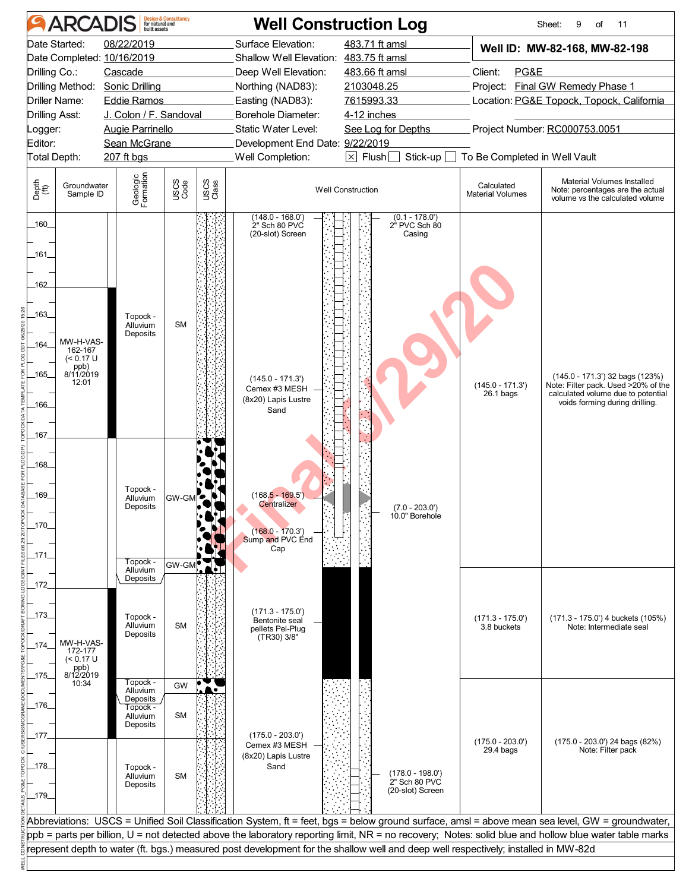| <b>ARCADIS</b>                                                                                                                                                                | <b>Design &amp; Consultancy</b><br>for natural and<br>built assets                                                                              | <b>Well Construction Log</b>                                                                                                                                                                                                                                                                                                                                                                                                                   |                                                                                                                                                  |                                                  | Sheet:<br>9<br>of<br>11                                                                                                                         |
|-------------------------------------------------------------------------------------------------------------------------------------------------------------------------------|-------------------------------------------------------------------------------------------------------------------------------------------------|------------------------------------------------------------------------------------------------------------------------------------------------------------------------------------------------------------------------------------------------------------------------------------------------------------------------------------------------------------------------------------------------------------------------------------------------|--------------------------------------------------------------------------------------------------------------------------------------------------|--------------------------------------------------|-------------------------------------------------------------------------------------------------------------------------------------------------|
| Date Started:<br>Date Completed: 10/16/2019<br>Drilling Co.:<br>Drilling Method:<br><b>Driller Name:</b><br><b>Drilling Asst:</b><br>Logger:<br>Editor:<br>Total Depth:       | 08/22/2019<br>Cascade<br>Sonic Drilling<br><b>Eddie Ramos</b><br>J. Colon / F. Sandoval<br>Augie Parrinello<br>Sean McGrane<br>$207$ ft bgs     | Surface Elevation:<br>Shallow Well Elevation: 483.75 ft amsl<br>Deep Well Elevation:<br>Northing (NAD83):<br>Easting (NAD83):<br>Borehole Diameter:<br>Static Water Level:<br>Development End Date: 9/22/2019<br>Well Completion:                                                                                                                                                                                                              | 483.71 ft amsl<br>483.66 ft amsl<br>2103048.25<br>7615993.33<br>4-12 inches<br>See Log for Depths<br>Stick-up $\Box$<br>$\boxtimes$ Flush $\Box$ | Client:<br>PG&E<br>To Be Completed in Well Vault | Well ID: MW-82-168, MW-82-198<br>Project: Final GW Remedy Phase 1<br>Location: PG&E Topock, Topock, California<br>Project Number: RC000753.0051 |
| Depth<br>(ff)<br>Groundwater<br>Sample ID                                                                                                                                     | Geologic<br>Formation<br>USCS<br>Code                                                                                                           | USCS<br>Class                                                                                                                                                                                                                                                                                                                                                                                                                                  | <b>Well Construction</b>                                                                                                                         | Calculated<br><b>Material Volumes</b>            | Material Volumes Installed<br>Note: percentages are the actual<br>volume vs the calculated volume                                               |
| $-160-$<br>_161_<br>162<br>-163<br>MW-H-VAS-<br>$-164$<br>162-167<br>$(< 0.17$ U<br>ppb)<br>8/11/2019<br>_165_<br>12:01<br>166<br>_167_<br>$-168$<br>_169_<br>$-170$<br>_171_ | Topock -<br>Alluvium<br><b>SM</b><br>Deposits<br>Topock -<br>$GW-GM$<br>Alluvium<br>Deposits<br>Topock -<br>GW-GM<br>Alluvium                   | (148.0 - 168.0')<br>2" Sch 80 PVC<br>(20-slot) Screen<br>$(145.0 - 171.3)$<br>Cemex #3 MESH<br>(8x20) Lapis Lustre<br>Sand<br>$(168.5 - 169.5)$<br><b>Centralizer</b><br>$(168.0 - 170.3')$<br>Sump and PVC End<br>Cap                                                                                                                                                                                                                         | $(0.1 - 178.0')$<br>2" PVC Sch 80<br>Casing<br>$(7.0 - 203.0')$<br>10.0" Borehole                                                                | $(145.0 - 171.3)$<br>$26.1$ bags                 | (145.0 - 171.3') 32 bags (123%)<br>Note: Filter pack. Used >20% of the<br>calculated volume due to potential<br>voids forming during drilling.  |
| _172_<br>_173_<br>MW-H-VAS-<br>$-174$<br>172-177<br>$(< 0.17$ U<br>ppb)<br>8/12/2019<br>_175_                                                                                 | Deposits<br>Topock -<br>Alluvium<br><b>SM</b><br>Deposits                                                                                       | $(171.3 - 175.0')$<br>Bentonite seal<br>pellets Pel-Plug<br>(TR30) 3/8"                                                                                                                                                                                                                                                                                                                                                                        |                                                                                                                                                  | $(171.3 - 175.0')$<br>3.8 buckets                | (171.3 - 175.0') 4 buckets (105%)<br>Note: Intermediate seal                                                                                    |
| 10:34<br>_176_<br>_177_<br>_178_<br>$-179$                                                                                                                                    | Topock -<br>GW<br>Alluvium<br><b>Deposits</b><br>Topock -<br><b>SM</b><br>Alluvium<br>Deposits<br>Topock -<br>Alluvium<br><b>SM</b><br>Deposits | $(175.0 - 203.0')$<br>Cemex #3 MESH<br>(8x20) Lapis Lustre<br>Sand                                                                                                                                                                                                                                                                                                                                                                             | (178.0 - 198.0')<br>2" Sch 80 PVC<br>(20-slot) Screen                                                                                            | $(175.0 - 203.0')$<br>$29.4$ bags                | (175.0 - 203.0') 24 bags (82%)<br>Note: Filter pack                                                                                             |
|                                                                                                                                                                               |                                                                                                                                                 | Abbreviations: USCS = Unified Soil Classification System, ft = feet, bgs = below ground surface, amsl = above mean sea level, GW = groundwater,<br>ppb = parts per billion, U = not detected above the laboratory reporting limit, NR = no recovery; Notes: solid blue and hollow blue water table marks<br>represent depth to water (ft. bgs.) measured post development for the shallow well and deep well respectively; installed in MW-82d |                                                                                                                                                  |                                                  |                                                                                                                                                 |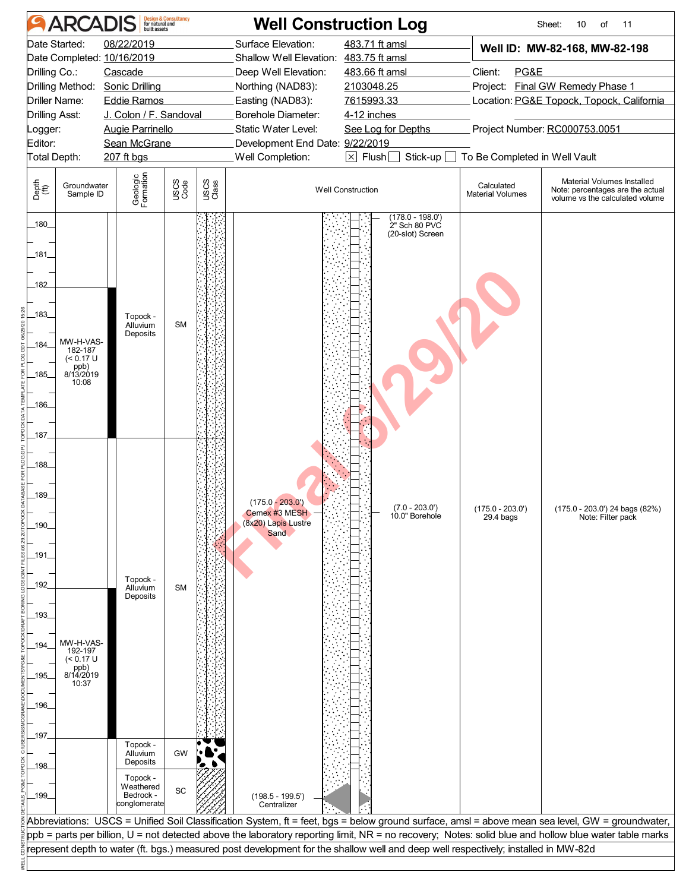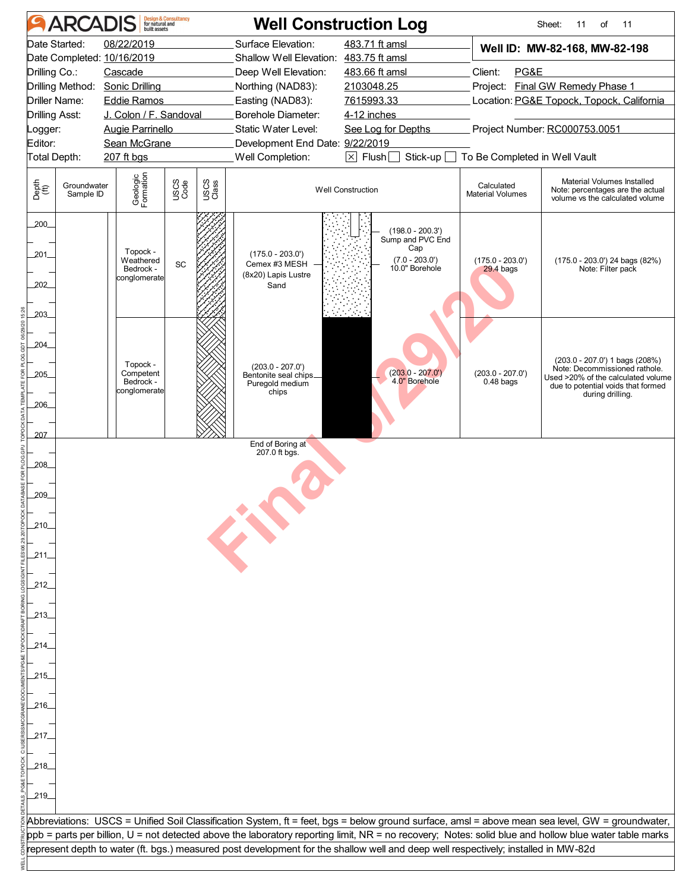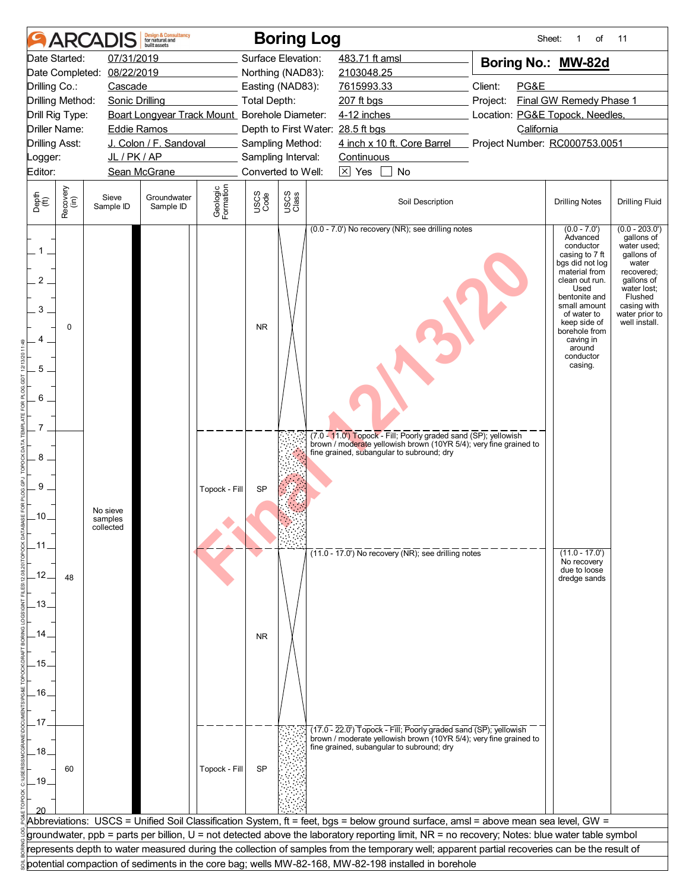|                           |                      | <b>ARCADIS</b>                   | <b>Design &amp; Consultancy</b><br>for natural and<br>huilt assets |                       |                     | <b>Boring Log</b>                 |                                                                                                                                                                                                                                           | Sheet:                          | of                                                                                                                                                                                                                                                     | 11                                                                                                                                                                           |
|---------------------------|----------------------|----------------------------------|--------------------------------------------------------------------|-----------------------|---------------------|-----------------------------------|-------------------------------------------------------------------------------------------------------------------------------------------------------------------------------------------------------------------------------------------|---------------------------------|--------------------------------------------------------------------------------------------------------------------------------------------------------------------------------------------------------------------------------------------------------|------------------------------------------------------------------------------------------------------------------------------------------------------------------------------|
|                           | Date Started:        | 07/31/2019                       |                                                                    |                       |                     | Surface Elevation:                | 483.71 ft amsl                                                                                                                                                                                                                            | Boring No.: MW-82d              |                                                                                                                                                                                                                                                        |                                                                                                                                                                              |
|                           | Date Completed:      | 08/22/2019                       |                                                                    |                       |                     | Northing (NAD83):                 | 2103048.25                                                                                                                                                                                                                                |                                 |                                                                                                                                                                                                                                                        |                                                                                                                                                                              |
| Drilling Co.:             |                      | Cascade                          |                                                                    |                       |                     | Easting (NAD83):                  | 7615993.33                                                                                                                                                                                                                                | Client:<br>PG&E                 |                                                                                                                                                                                                                                                        |                                                                                                                                                                              |
|                           | Drilling Method:     | <b>Sonic Drilling</b>            |                                                                    |                       | <b>Total Depth:</b> |                                   | 207 ft bgs                                                                                                                                                                                                                                | Project:                        | Final GW Remedy Phase 1                                                                                                                                                                                                                                |                                                                                                                                                                              |
|                           | Drill Rig Type:      |                                  | Boart Longyear Track Mount Borehole Diameter:                      |                       |                     |                                   | 4-12 inches                                                                                                                                                                                                                               | Location: PG&E Topock, Needles, |                                                                                                                                                                                                                                                        |                                                                                                                                                                              |
|                           | <b>Driller Name:</b> | <b>Eddie Ramos</b>               |                                                                    |                       |                     | Depth to First Water: 28.5 ft bgs |                                                                                                                                                                                                                                           | California                      |                                                                                                                                                                                                                                                        |                                                                                                                                                                              |
| <b>Drilling Asst:</b>     |                      |                                  | J. Colon / F. Sandoval                                             |                       |                     | Sampling Method:                  | 4 inch x 10 ft. Core Barrel                                                                                                                                                                                                               | Project Number: RC000753.0051   |                                                                                                                                                                                                                                                        |                                                                                                                                                                              |
| Logger:                   |                      | JL/PK/AP                         |                                                                    |                       |                     | Sampling Interval:                | Continuous                                                                                                                                                                                                                                |                                 |                                                                                                                                                                                                                                                        |                                                                                                                                                                              |
| Editor:                   |                      |                                  | Sean McGrane                                                       |                       |                     | Converted to Well:                | $\boxtimes$ Yes<br>No                                                                                                                                                                                                                     |                                 |                                                                                                                                                                                                                                                        |                                                                                                                                                                              |
| Depth<br>(ft)             | Recovery<br>(in)     | Sieve<br>Sample ID               | Groundwater<br>Sample ID                                           | Geologic<br>Formation | USCS<br>Code        | USCS<br>Class                     | Soil Description                                                                                                                                                                                                                          |                                 | <b>Drilling Notes</b>                                                                                                                                                                                                                                  | <b>Drilling Fluid</b>                                                                                                                                                        |
| $1 -$<br>2<br>3<br>5<br>6 | $\Omega$             |                                  |                                                                    |                       | <b>NR</b>           |                                   | (0.0 - 7.0') No recovery (NR); see drilling notes                                                                                                                                                                                         |                                 | $(0.0 - 7.0)$<br>Advanced<br>conductor<br>casing to 7 ft<br>bgs did not log<br>material from<br>clean out run.<br>Used<br>bentonite and<br>small amount<br>of water to<br>keep side of<br>borehole from<br>caving in<br>around<br>conductor<br>casing. | $(0.0 - 203.0')$<br>gallons of<br>water used;<br>gallons of<br>water<br>recovered;<br>gallons of<br>water lost;<br>Flushed<br>casing with<br>water prior to<br>well install. |
| 8<br>9<br>.10.<br>.11     |                      | No sieve<br>samples<br>collected |                                                                    | Topock - Fill         | SP                  |                                   | (7.0 - 11.0') Topock - Fill; Poorly graded sand (SP); yellowish<br>brown / moderate yellowish brown (10YR 5/4); very fine grained to<br>fine grained, subangular to subround; dry<br>$(11.0 - 17.0)$ No recovery (NR); see drilling notes |                                 |                                                                                                                                                                                                                                                        |                                                                                                                                                                              |
| .12.<br>.13.              | 48                   |                                  |                                                                    |                       |                     |                                   |                                                                                                                                                                                                                                           |                                 | $(11.0 - 17.0')$<br>No recovery<br>due to loose<br>dredge sands                                                                                                                                                                                        |                                                                                                                                                                              |
|                           |                      |                                  |                                                                    |                       |                     |                                   |                                                                                                                                                                                                                                           |                                 |                                                                                                                                                                                                                                                        |                                                                                                                                                                              |
| 14                        |                      |                                  |                                                                    |                       | <b>NR</b>           |                                   |                                                                                                                                                                                                                                           |                                 |                                                                                                                                                                                                                                                        |                                                                                                                                                                              |
|                           |                      |                                  |                                                                    |                       |                     |                                   |                                                                                                                                                                                                                                           |                                 |                                                                                                                                                                                                                                                        |                                                                                                                                                                              |
| .15.                      |                      |                                  |                                                                    |                       |                     |                                   |                                                                                                                                                                                                                                           |                                 |                                                                                                                                                                                                                                                        |                                                                                                                                                                              |
|                           |                      |                                  |                                                                    |                       |                     |                                   |                                                                                                                                                                                                                                           |                                 |                                                                                                                                                                                                                                                        |                                                                                                                                                                              |
| .16.                      |                      |                                  |                                                                    |                       |                     |                                   |                                                                                                                                                                                                                                           |                                 |                                                                                                                                                                                                                                                        |                                                                                                                                                                              |
|                           |                      |                                  |                                                                    |                       |                     |                                   |                                                                                                                                                                                                                                           |                                 |                                                                                                                                                                                                                                                        |                                                                                                                                                                              |
| .17                       |                      |                                  |                                                                    |                       |                     |                                   |                                                                                                                                                                                                                                           |                                 |                                                                                                                                                                                                                                                        |                                                                                                                                                                              |
| .18.                      |                      |                                  |                                                                    |                       |                     |                                   | (17.0 - 22.0') Topock - Fill; Poorly graded sand (SP); yellowish<br>brown / moderate yellowish brown (10YR 5/4); very fine grained to<br>fine grained, subangular to subround; dry                                                        |                                 |                                                                                                                                                                                                                                                        |                                                                                                                                                                              |
| $-19$                     | 60                   |                                  |                                                                    | Topock - Fill         | SP                  |                                   |                                                                                                                                                                                                                                           |                                 |                                                                                                                                                                                                                                                        |                                                                                                                                                                              |
|                           |                      |                                  |                                                                    |                       |                     |                                   |                                                                                                                                                                                                                                           |                                 |                                                                                                                                                                                                                                                        |                                                                                                                                                                              |
|                           |                      |                                  |                                                                    |                       |                     |                                   |                                                                                                                                                                                                                                           |                                 |                                                                                                                                                                                                                                                        |                                                                                                                                                                              |
|                           |                      |                                  |                                                                    |                       |                     |                                   | Abbreviations: USCS = Unified Soil Classification System, ft = feet, bgs = below ground surface, amsl = above mean sea level, GW =                                                                                                        |                                 |                                                                                                                                                                                                                                                        |                                                                                                                                                                              |
|                           |                      |                                  |                                                                    |                       |                     |                                   | groundwater, ppb = parts per billion, U = not detected above the laboratory reporting limit, NR = no recovery; Notes: blue water table symbol                                                                                             |                                 |                                                                                                                                                                                                                                                        |                                                                                                                                                                              |
|                           |                      |                                  |                                                                    |                       |                     |                                   | represents depth to water measured during the collection of samples from the temporary well; apparent partial recoveries can be the result of                                                                                             |                                 |                                                                                                                                                                                                                                                        |                                                                                                                                                                              |
|                           |                      |                                  |                                                                    |                       |                     |                                   | potential compaction of sediments in the core bag; wells MW-82-168, MW-82-198 installed in borehole                                                                                                                                       |                                 |                                                                                                                                                                                                                                                        |                                                                                                                                                                              |
|                           |                      |                                  |                                                                    |                       |                     |                                   |                                                                                                                                                                                                                                           |                                 |                                                                                                                                                                                                                                                        |                                                                                                                                                                              |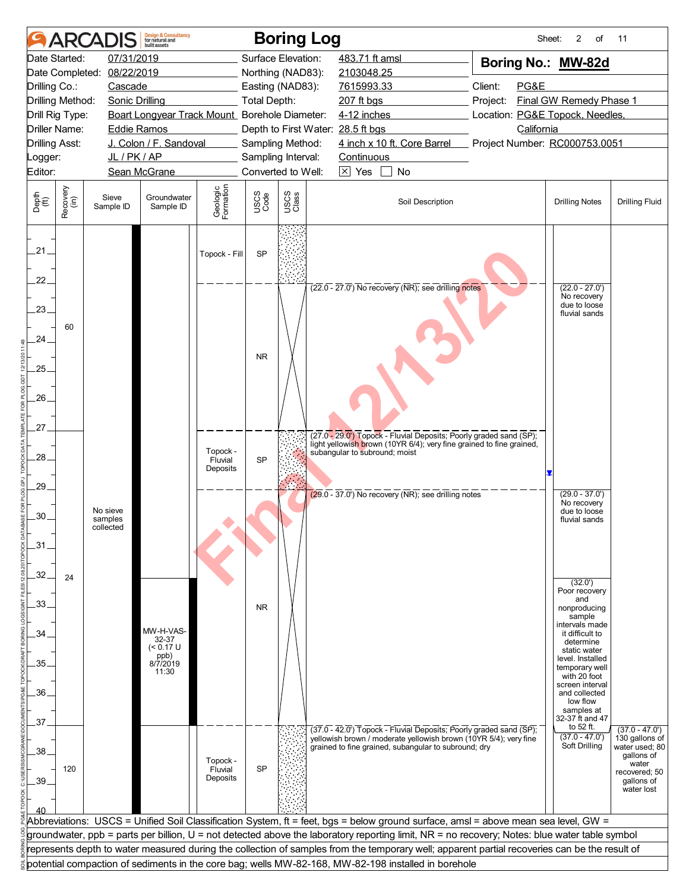|                | <b>ARCAI</b>     |                                  | <b>Design &amp; Consultancy</b><br>for natural and<br>built assets |                                 |                                                | <b>Boring Log</b>  |                                                                                                                                               | Sheet:                        | 2<br>of                                                          | 11                                                 |
|----------------|------------------|----------------------------------|--------------------------------------------------------------------|---------------------------------|------------------------------------------------|--------------------|-----------------------------------------------------------------------------------------------------------------------------------------------|-------------------------------|------------------------------------------------------------------|----------------------------------------------------|
|                | Date Started:    | 07/31/2019                       |                                                                    |                                 |                                                | Surface Elevation: | 483.71 ft amsl                                                                                                                                | Boring No.: MW-82d            |                                                                  |                                                    |
|                |                  | Date Completed: 08/22/2019       |                                                                    |                                 |                                                | Northing (NAD83):  | 2103048.25                                                                                                                                    |                               |                                                                  |                                                    |
| Drilling Co.:  |                  | Cascade                          |                                                                    |                                 |                                                | Easting (NAD83):   | 7615993.33                                                                                                                                    | Client:<br>PG&E               |                                                                  |                                                    |
|                | Drilling Method: | <b>Sonic Drilling</b>            |                                                                    |                                 | Total Depth:                                   |                    | 207 ft bgs<br>Project:                                                                                                                        |                               | Final GW Remedy Phase 1                                          |                                                    |
|                | Drill Rig Type:  |                                  |                                                                    |                                 | Boart Longyear Track Mount_ Borehole Diameter: |                    | 4-12 inches                                                                                                                                   |                               | Location: PG&E Topock, Needles,                                  |                                                    |
|                | Driller Name:    | <b>Eddie Ramos</b>               |                                                                    |                                 |                                                |                    | Depth to First Water: 28.5 ft bgs                                                                                                             | California                    |                                                                  |                                                    |
| Drilling Asst: |                  |                                  | J. Colon / F. Sandoval                                             |                                 |                                                | Sampling Method:   | 4 inch x 10 ft. Core Barrel                                                                                                                   | Project Number: RC000753.0051 |                                                                  |                                                    |
| _ogger:        |                  | JL/PK/AP                         |                                                                    |                                 |                                                | Sampling Interval: | Continuous                                                                                                                                    |                               |                                                                  |                                                    |
| Editor:        |                  |                                  | Sean McGrane                                                       |                                 |                                                | Converted to Well: | $\boxtimes$ Yes<br>No                                                                                                                         |                               |                                                                  |                                                    |
| Depth<br>(ft)  | Recovery<br>(in) | Sieve<br>Sample ID               | Groundwater<br>Sample ID                                           | Geologic<br>Formation           | USCS<br>Code                                   | USCS<br>Class      | Soil Description                                                                                                                              |                               | <b>Drilling Notes</b>                                            | <b>Drilling Fluid</b>                              |
| .21.           |                  |                                  |                                                                    | Topock - Fill                   | SP                                             |                    |                                                                                                                                               |                               |                                                                  |                                                    |
| 22.<br>.23.    |                  |                                  |                                                                    |                                 |                                                |                    | $(22.0 - 27.0)$ No recovery (NR); see drilling notes                                                                                          |                               | $(22.0 - 27.0')$<br>No recovery<br>due to loose<br>fluvial sands |                                                    |
| 24.            | 60               |                                  |                                                                    |                                 | <b>NR</b>                                      |                    |                                                                                                                                               |                               |                                                                  |                                                    |
| 25.            |                  |                                  |                                                                    |                                 |                                                |                    |                                                                                                                                               |                               |                                                                  |                                                    |
| $26-$          |                  |                                  |                                                                    |                                 |                                                |                    |                                                                                                                                               |                               |                                                                  |                                                    |
| 27             |                  |                                  |                                                                    |                                 |                                                |                    | (27.0 - 29.0') Topock - Fluvial Deposits; Poorly graded sand (SP);                                                                            |                               |                                                                  |                                                    |
| .28.           |                  |                                  |                                                                    | Topock -<br>Fluvial<br>Deposits | <b>SP</b>                                      |                    | light yellowish brown (10YR 6/4); very fine grained to fine grained,<br>subangular to subround; moist                                         |                               |                                                                  |                                                    |
| 29.            |                  |                                  |                                                                    |                                 |                                                |                    | $(29.0 - 37.0)$ No recovery (NR); see drilling notes                                                                                          |                               | $(29.0 - 37.0')$<br>No recovery                                  |                                                    |
| .30.           |                  | No sieve<br>samples<br>collected |                                                                    |                                 |                                                |                    |                                                                                                                                               |                               | due to loose<br>fluvial sands                                    |                                                    |
| $-31$          |                  |                                  |                                                                    |                                 |                                                |                    |                                                                                                                                               |                               |                                                                  |                                                    |
| 32.<br>.33.    | 24               |                                  |                                                                    |                                 |                                                |                    |                                                                                                                                               |                               | (32.0')<br>Poor recovery<br>and                                  |                                                    |
| .34.           |                  |                                  | MW-H-VAS-                                                          |                                 | <b>NR</b>                                      |                    |                                                                                                                                               |                               | nonproducing<br>sample<br>intervals made<br>it difficult to      |                                                    |
| .35.           |                  |                                  | 32-37<br>(< 0.17 U<br>ppb)<br>8/7/2019                             |                                 |                                                |                    |                                                                                                                                               |                               | determine<br>static water<br>level. Installed<br>temporary well  |                                                    |
| .36.           |                  |                                  | 11:30                                                              |                                 |                                                |                    |                                                                                                                                               |                               | with 20 foot<br>screen interval<br>and collected<br>low flow     |                                                    |
| 37.            |                  |                                  |                                                                    |                                 |                                                |                    | (37.0 - 42.0') Topock - Fluvial Deposits; Poorly graded sand (SP);                                                                            |                               | samples at<br>32-37 ft and 47<br>to 52 ft.                       | $(37.0 - 47.0')$                                   |
| .38            |                  |                                  |                                                                    | Topock -                        |                                                |                    | yellowish brown / moderate yellowish brown (10YR 5/4); very fine<br>grained to fine grained, subangular to subround; dry                      |                               | $(37.0 - 47.0')$<br>Soft Drilling                                | 130 gallons of<br>water used; 80<br>gallons of     |
| .39.           | 120              |                                  |                                                                    | Fluvial<br>Deposits             | <b>SP</b>                                      |                    |                                                                                                                                               |                               |                                                                  | water<br>recovered; 50<br>gallons of<br>water lost |
|                |                  |                                  |                                                                    |                                 |                                                |                    |                                                                                                                                               |                               |                                                                  |                                                    |
|                |                  |                                  |                                                                    |                                 |                                                |                    | Abbreviations: USCS = Unified Soil Classification System, ft = feet, bgs = below ground surface, amsl = above mean sea level, GW =            |                               |                                                                  |                                                    |
|                |                  |                                  |                                                                    |                                 |                                                |                    | groundwater, ppb = parts per billion, U = not detected above the laboratory reporting limit, NR = no recovery; Notes: blue water table symbol |                               |                                                                  |                                                    |
|                |                  |                                  |                                                                    |                                 |                                                |                    | represents depth to water measured during the collection of samples from the temporary well; apparent partial recoveries can be the result of |                               |                                                                  |                                                    |
|                |                  |                                  |                                                                    |                                 |                                                |                    | potential compaction of sediments in the core bag; wells MW-82-168, MW-82-198 installed in borehole                                           |                               |                                                                  |                                                    |
|                |                  |                                  |                                                                    |                                 |                                                |                    |                                                                                                                                               |                               |                                                                  |                                                    |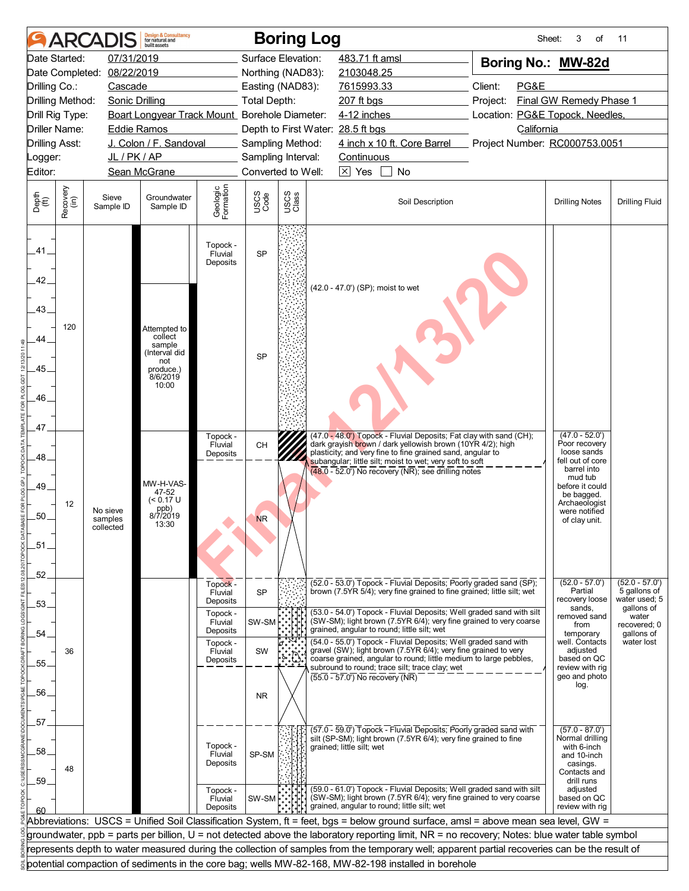|                       |                  | <b>ARCADI</b>         | <b>Design &amp; Consultancy</b><br>for natural and<br>huilt assets |                                 |              | <b>Boring Log</b>  |                                                                                                                                               | Sheet:                          | 3<br>of                         | 11                               |  |
|-----------------------|------------------|-----------------------|--------------------------------------------------------------------|---------------------------------|--------------|--------------------|-----------------------------------------------------------------------------------------------------------------------------------------------|---------------------------------|---------------------------------|----------------------------------|--|
|                       | Date Started:    | 07/31/2019            |                                                                    |                                 |              | Surface Elevation: | 483.71 ft amsl                                                                                                                                | Boring No.: MW-82d              |                                 |                                  |  |
| Date Completed:       |                  | 08/22/2019            |                                                                    |                                 |              | Northing (NAD83):  | 2103048.25                                                                                                                                    |                                 |                                 |                                  |  |
| Drilling Co.:         |                  | Cascade               |                                                                    |                                 |              | Easting (NAD83):   | 7615993.33                                                                                                                                    | Client:<br>PG&E                 |                                 |                                  |  |
| Drilling Method:      |                  | <b>Sonic Drilling</b> |                                                                    |                                 | Total Depth: |                    | 207 ft bgs                                                                                                                                    | Project:                        | Final GW Remedy Phase 1         |                                  |  |
| Drill Rig Type:       |                  |                       | Boart Longyear Track Mount_Borehole Diameter:                      |                                 |              |                    | 4-12 inches                                                                                                                                   | Location: PG&E Topock, Needles, |                                 |                                  |  |
| <b>Driller Name:</b>  |                  | <b>Eddie Ramos</b>    |                                                                    |                                 |              |                    | Depth to First Water: 28.5 ft bgs                                                                                                             | California                      |                                 |                                  |  |
| <b>Drilling Asst:</b> |                  |                       | J. Colon / F. Sandoval                                             |                                 |              | Sampling Method:   | 4 inch x 10 ft. Core Barrel                                                                                                                   | Project Number: RC000753.0051   |                                 |                                  |  |
| Logger:               |                  | JL/PK/AP              |                                                                    |                                 |              | Sampling Interval: | Continuous                                                                                                                                    |                                 |                                 |                                  |  |
| Editor:               |                  |                       | Sean McGrane                                                       |                                 |              | Converted to Well: | $\boxed{\times}$ Yes<br>No                                                                                                                    |                                 |                                 |                                  |  |
| Depth<br>(ft)         | Recovery<br>(in) | Sieve<br>Sample ID    | Groundwater<br>Sample ID                                           | Geologic<br>Formation           | USCS<br>Code | USCS<br>Class      | Soil Description                                                                                                                              |                                 | <b>Drilling Notes</b>           | <b>Drilling Fluid</b>            |  |
| .41.<br>42.           |                  |                       |                                                                    | Topock -<br>Fluvial<br>Deposits | <b>SP</b>    |                    |                                                                                                                                               |                                 |                                 |                                  |  |
| 43.<br>44             | 120              |                       | Attempted to<br>collect<br>sample<br>(Interval did<br>not          |                                 | <b>SP</b>    |                    | (42.0 - 47.0') (SP); moist to wet                                                                                                             |                                 |                                 |                                  |  |
| .45.                  |                  |                       | produce.)<br>8/6/2019                                              |                                 |              |                    |                                                                                                                                               |                                 |                                 |                                  |  |
|                       |                  |                       | 10:00                                                              |                                 |              |                    |                                                                                                                                               |                                 |                                 |                                  |  |
| 46.                   |                  |                       |                                                                    |                                 |              |                    |                                                                                                                                               |                                 |                                 |                                  |  |
|                       |                  |                       |                                                                    |                                 |              |                    |                                                                                                                                               |                                 |                                 |                                  |  |
| .47                   |                  |                       |                                                                    | Topock -                        |              |                    | (47.0 - 48.0') Topock - Fluvial Deposits; Fat clay with sand (CH);                                                                            |                                 | $(47.0 - 52.0')$                |                                  |  |
|                       |                  |                       |                                                                    | Fluvial<br>Deposits             | CH           |                    | dark grayish brown / dark yellowish brown (10YR 4/2); high<br>plasticity; and very fine to fine grained sand, angular to                      |                                 | Poor recovery<br>loose sands    |                                  |  |
| 48                    |                  |                       |                                                                    |                                 |              |                    | subangular; little silt; moist to wet; very soft to soft<br>$\sqrt{48.0 - 52.0}$ No recovery $\sqrt{NR}$ ): see drilling notes                |                                 | fell out of core<br>barrel into |                                  |  |
| 49.                   |                  |                       | MW-H-VAS-                                                          |                                 |              |                    |                                                                                                                                               |                                 | mud tub<br>before it could      |                                  |  |
|                       |                  |                       | 47-52<br>$(< 0.17$ U                                               |                                 |              |                    |                                                                                                                                               |                                 | be bagged.                      |                                  |  |
| .50.                  | 12               | No sieve              | ppb)<br>8/7/2019                                                   |                                 |              |                    |                                                                                                                                               |                                 | Archaeologist<br>were notified  |                                  |  |
|                       |                  | samples<br>collected  | 13:30                                                              |                                 | <b>NR</b>    |                    |                                                                                                                                               |                                 | of clay unit.                   |                                  |  |
| .51                   |                  |                       |                                                                    |                                 |              |                    |                                                                                                                                               |                                 |                                 |                                  |  |
|                       |                  |                       |                                                                    |                                 |              |                    |                                                                                                                                               |                                 |                                 |                                  |  |
| .52.                  |                  |                       |                                                                    |                                 |              |                    |                                                                                                                                               |                                 |                                 |                                  |  |
|                       |                  |                       |                                                                    | Topock -<br>Fluvial             | <b>SP</b>    |                    | (52.0 - 53.0') Topock - Fluvial Deposits; Poorly graded sand (SP);<br>brown (7.5YR 5/4); very fine grained to fine grained; little silt; wet  |                                 | $(52.0 - 57.0')$<br>Partial     | $(52.0 - 57.0')$<br>5 gallons of |  |
| .53.                  |                  |                       |                                                                    | Deposits                        |              |                    |                                                                                                                                               |                                 | recovery loose<br>sands,        | water used; 5<br>gallons of      |  |
|                       |                  |                       |                                                                    | Topock -<br>Fluvial             | SW-SM        |                    | (53.0 - 54.0') Topock - Fluvial Deposits; Well graded sand with silt<br>(SW-SM); light brown (7.5YR 6/4); very fine grained to very coarse    |                                 | removed sand                    | water                            |  |
| 54                    |                  |                       |                                                                    | Deposits                        |              |                    | grained, angular to round; little silt; wet                                                                                                   |                                 | from<br>temporary               | recovered; 0<br>gallons of       |  |
|                       | 36               |                       |                                                                    | Topock -<br>Fluvial             | SW           |                    | (54.0 - 55.0') Topock - Fluvial Deposits; Well graded sand with<br>gravel (SW); light brown (7.5YR 6/4); very fine grained to very            |                                 | well. Contacts<br>adjusted      | water lost                       |  |
| 55.                   |                  |                       |                                                                    | Deposits                        |              |                    | coarse grained, angular to round; little medium to large pebbles,<br>subround to round; trace silt; trace clay; wet                           |                                 | based on QC<br>review with rig  |                                  |  |
|                       |                  |                       |                                                                    |                                 |              |                    | $(55.0 - 57.0)$ No recovery (NR)                                                                                                              |                                 | geo and photo<br>log.           |                                  |  |
| .56.                  |                  |                       |                                                                    |                                 | <b>NR</b>    |                    |                                                                                                                                               |                                 |                                 |                                  |  |
|                       |                  |                       |                                                                    |                                 |              |                    |                                                                                                                                               |                                 |                                 |                                  |  |
| .57                   |                  |                       |                                                                    |                                 |              |                    | (57.0 - 59.0') Topock - Fluvial Deposits; Poorly graded sand with                                                                             |                                 | $(57.0 - 87.0')$                |                                  |  |
|                       |                  |                       |                                                                    | Topock -                        |              |                    | silt (SP-SM); light brown (7.5YR 6/4); very fine grained to fine<br>grained; little silt; wet                                                 |                                 | Normal drilling<br>with 6-inch  |                                  |  |
| .58.                  |                  |                       |                                                                    | Fluvial                         | SP-SM        |                    |                                                                                                                                               |                                 | and 10-inch                     |                                  |  |
|                       | 48               |                       |                                                                    | Deposits                        |              |                    |                                                                                                                                               |                                 | casings.<br>Contacts and        |                                  |  |
| .59                   |                  |                       |                                                                    | Topock -                        |              |                    | (59.0 - 61.0') Topock - Fluvial Deposits; Well graded sand with silt                                                                          |                                 | drill runs<br>adjusted          |                                  |  |
|                       |                  |                       |                                                                    | Fluvial<br>Deposits             | SW-SM        |                    | (SW-SM); light brown (7.5YR 6/4); very fine grained to very coarse<br>grained, angular to round; little silt; wet                             |                                 | based on QC<br>review with rig  |                                  |  |
| 60                    |                  |                       |                                                                    |                                 |              |                    | Abbreviations: USCS = Unified Soil Classification System, ft = feet, bgs = below ground surface, amsl = above mean sea level, GW =            |                                 |                                 |                                  |  |
|                       |                  |                       |                                                                    |                                 |              |                    | groundwater, ppb = parts per billion, U = not detected above the laboratory reporting limit, NR = no recovery; Notes: blue water table symbol |                                 |                                 |                                  |  |
|                       |                  |                       |                                                                    |                                 |              |                    | represents depth to water measured during the collection of samples from the temporary well; apparent partial recoveries can be the result of |                                 |                                 |                                  |  |
|                       |                  |                       |                                                                    |                                 |              |                    | potential compaction of sediments in the core bag; wells MW-82-168, MW-82-198 installed in borehole                                           |                                 |                                 |                                  |  |
|                       |                  |                       |                                                                    |                                 |              |                    |                                                                                                                                               |                                 |                                 |                                  |  |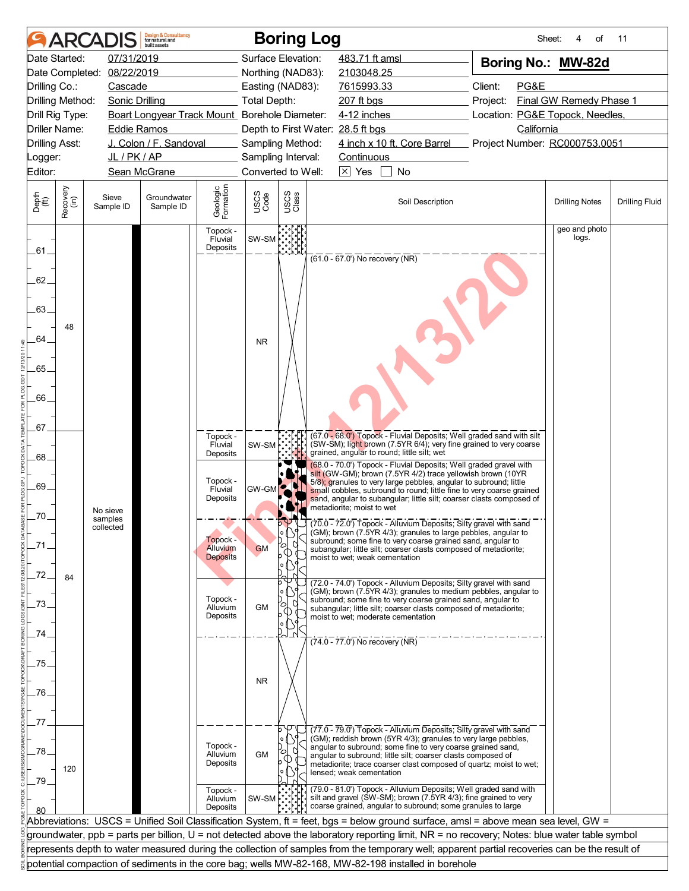|                       |                  |                       | <b>Design &amp; Consultancy</b><br>for natural and<br><b>built</b> assets |                                  |                     | <b>Boring Log</b>  |                                                                                                                                                                                                                                                                                                |                                                                                                                                                                                                                   | Sheet:<br>of                    | 11                    |
|-----------------------|------------------|-----------------------|---------------------------------------------------------------------------|----------------------------------|---------------------|--------------------|------------------------------------------------------------------------------------------------------------------------------------------------------------------------------------------------------------------------------------------------------------------------------------------------|-------------------------------------------------------------------------------------------------------------------------------------------------------------------------------------------------------------------|---------------------------------|-----------------------|
|                       | Date Started:    | 07/31/2019            |                                                                           |                                  |                     | Surface Elevation: | 483.71 ft amsl                                                                                                                                                                                                                                                                                 |                                                                                                                                                                                                                   | Boring No.: MW-82d              |                       |
| Date Completed:       |                  | 08/22/2019            |                                                                           |                                  |                     | Northing (NAD83):  | 2103048.25                                                                                                                                                                                                                                                                                     |                                                                                                                                                                                                                   |                                 |                       |
| Drilling Co.:         |                  | Cascade               |                                                                           |                                  |                     | Easting (NAD83):   | 7615993.33                                                                                                                                                                                                                                                                                     | Client:<br>PG&E                                                                                                                                                                                                   |                                 |                       |
| Drilling Method:      |                  | <b>Sonic Drilling</b> |                                                                           |                                  | <b>Total Depth:</b> |                    | 207 ft bgs                                                                                                                                                                                                                                                                                     | Project:                                                                                                                                                                                                          | Final GW Remedy Phase 1         |                       |
| Drill Rig Type:       |                  |                       | Boart Longyear Track Mount_Borehole Diameter:                             |                                  |                     |                    | 4-12 inches                                                                                                                                                                                                                                                                                    |                                                                                                                                                                                                                   | Location: PG&E Topock, Needles, |                       |
| Driller Name:         |                  | <b>Eddie Ramos</b>    |                                                                           |                                  |                     |                    | Depth to First Water: 28.5 ft bgs                                                                                                                                                                                                                                                              | California                                                                                                                                                                                                        |                                 |                       |
| <b>Drilling Asst:</b> |                  |                       | J. Colon / F. Sandoval                                                    |                                  |                     | Sampling Method:   | 4 inch x 10 ft. Core Barrel                                                                                                                                                                                                                                                                    |                                                                                                                                                                                                                   | Project Number: RC000753.0051   |                       |
| _ogger:               |                  | JL/PK/AP              |                                                                           |                                  |                     | Sampling Interval: | Continuous                                                                                                                                                                                                                                                                                     |                                                                                                                                                                                                                   |                                 |                       |
| Editor:               |                  |                       | Sean McGrane                                                              |                                  |                     | Converted to Well: | $\boxed{\times}$ Yes<br>No                                                                                                                                                                                                                                                                     |                                                                                                                                                                                                                   |                                 |                       |
| Depth<br>(ft)         | Recovery<br>(in) | Sieve<br>Sample ID    | Groundwater<br>Sample ID                                                  | Geologic<br>Formation            | USCS<br>Code        | USCS<br>Class      | Soil Description                                                                                                                                                                                                                                                                               |                                                                                                                                                                                                                   | <b>Drilling Notes</b>           | <b>Drilling Fluid</b> |
| .61.                  |                  |                       |                                                                           | Topock -<br>Fluvial<br>Deposits  | SW-SM               |                    | $(61.0 - 67.0)$ No recovery (NR)                                                                                                                                                                                                                                                               |                                                                                                                                                                                                                   | geo and photo<br>logs.          |                       |
| 62.<br>63.            |                  |                       |                                                                           |                                  |                     |                    |                                                                                                                                                                                                                                                                                                |                                                                                                                                                                                                                   |                                 |                       |
| 64                    | 48               |                       |                                                                           |                                  | <b>NR</b>           |                    |                                                                                                                                                                                                                                                                                                |                                                                                                                                                                                                                   |                                 |                       |
| .65.                  |                  |                       |                                                                           |                                  |                     |                    |                                                                                                                                                                                                                                                                                                |                                                                                                                                                                                                                   |                                 |                       |
| 66.                   |                  |                       |                                                                           |                                  |                     |                    |                                                                                                                                                                                                                                                                                                |                                                                                                                                                                                                                   |                                 |                       |
| .67.                  |                  |                       |                                                                           |                                  |                     |                    |                                                                                                                                                                                                                                                                                                | (67.0 - 68.0') Topock - Fluvial Deposits; Well graded sand with silt                                                                                                                                              |                                 |                       |
| .68.                  |                  |                       |                                                                           | Topock -<br>Fluvial<br>Deposits  | SW-SM               |                    | grained, angular to round; little silt; wet                                                                                                                                                                                                                                                    | (SW-SM); light brown (7.5YR 6/4); very fine grained to very coarse                                                                                                                                                |                                 |                       |
| 69.                   |                  | No sieve              |                                                                           | Topock -<br>Fluvial<br>Deposits  | <b>GW-GM</b>        |                    | silt (GW-GM); brown (7.5YR 4/2) trace yellowish brown (10YR<br>5/8); granules to very large pebbles, angular to subround; little<br>metadiorite; moist to wet                                                                                                                                  | (68.0 - 70.0') Topock - Fluvial Deposits; Well graded gravel with<br>small cobbles, subround to round; little fine to very coarse grained<br>sand, angular to subangular; little silt; coarser clasts composed of |                                 |                       |
| .70.                  |                  | samples<br>collected  |                                                                           |                                  |                     |                    | 00 (70.0 - 72.0 Topock - Alluvium Deposits; Silty gravel with sand                                                                                                                                                                                                                             |                                                                                                                                                                                                                   |                                 |                       |
|                       |                  |                       |                                                                           | Topock -                         |                     | l° I \i            | (GM); brown (7.5YR 4/3); granules to large pebbles, angular to<br>subround; some fine to very coarse grained sand, angular to                                                                                                                                                                  |                                                                                                                                                                                                                   |                                 |                       |
|                       |                  |                       |                                                                           | Alluvium<br><b>Deposits</b>      | <b>GM</b>           | O                  | subangular; little silt; coarser clasts composed of metadiorite;<br>moist to wet; weak cementation                                                                                                                                                                                             |                                                                                                                                                                                                                   |                                 |                       |
| .72.                  | 84               |                       |                                                                           |                                  |                     | b                  | (72.0 - 74.0') Topock - Alluvium Deposits; Silty gravel with sand                                                                                                                                                                                                                              |                                                                                                                                                                                                                   |                                 |                       |
| 73.                   |                  |                       |                                                                           | Topock -<br>Alluvium             | <b>GM</b>           | О                  | subround; some fine to very coarse grained sand, angular to<br>subangular; little silt; coarser clasts composed of metadiorite;                                                                                                                                                                | (GM); brown (7.5YR 4/3); granules to medium pebbles, angular to                                                                                                                                                   |                                 |                       |
| 74                    |                  |                       |                                                                           | Deposits                         |                     |                    | moist to wet: moderate cementation                                                                                                                                                                                                                                                             |                                                                                                                                                                                                                   |                                 |                       |
|                       |                  |                       |                                                                           |                                  |                     |                    | (74.0 - 77.0') No recovery (NR)                                                                                                                                                                                                                                                                |                                                                                                                                                                                                                   |                                 |                       |
| 75                    |                  |                       |                                                                           |                                  |                     |                    |                                                                                                                                                                                                                                                                                                |                                                                                                                                                                                                                   |                                 |                       |
|                       |                  |                       |                                                                           |                                  | <b>NR</b>           |                    |                                                                                                                                                                                                                                                                                                |                                                                                                                                                                                                                   |                                 |                       |
| .76.                  |                  |                       |                                                                           |                                  |                     |                    |                                                                                                                                                                                                                                                                                                |                                                                                                                                                                                                                   |                                 |                       |
|                       |                  |                       |                                                                           |                                  |                     |                    |                                                                                                                                                                                                                                                                                                |                                                                                                                                                                                                                   |                                 |                       |
| 77                    |                  |                       |                                                                           |                                  |                     |                    |                                                                                                                                                                                                                                                                                                |                                                                                                                                                                                                                   |                                 |                       |
| .78.<br>79.           | 120              |                       |                                                                           | Topock -<br>Alluvium<br>Deposits | <b>GM</b>           | Ο                  | (77.0 - 79.0') Topock - Alluvium Deposits; Silty gravel with sand<br>(GM); reddish brown (5YR 4/3); granules to very large pebbles,<br>angular to subround; some fine to very coarse grained sand,<br>angular to subround; little silt; coarser clasts composed of<br>lensed; weak cementation | metadiorite; trace coarser clast composed of quartz; moist to wet;                                                                                                                                                |                                 |                       |
|                       |                  |                       |                                                                           | Topock -<br>Alluvium<br>Deposits | $SW-SM$             |                    | coarse grained, angular to subround; some granules to large                                                                                                                                                                                                                                    | (79.0 - 81.0') Topock - Alluvium Deposits; Well graded sand with<br>silt and gravel (SW-SM); brown (7.5YR 4/3); fine grained to very                                                                              |                                 |                       |
|                       |                  |                       |                                                                           |                                  |                     |                    |                                                                                                                                                                                                                                                                                                | Abbreviations: USCS = Unified Soil Classification System, ft = feet, bgs = below ground surface, amsl = above mean sea level, GW =                                                                                |                                 |                       |
|                       |                  |                       |                                                                           |                                  |                     |                    |                                                                                                                                                                                                                                                                                                | groundwater, ppb = parts per billion, U = not detected above the laboratory reporting limit, NR = no recovery; Notes: blue water table symbol                                                                     |                                 |                       |
|                       |                  |                       |                                                                           |                                  |                     |                    |                                                                                                                                                                                                                                                                                                | represents depth to water measured during the collection of samples from the temporary well; apparent partial recoveries can be the result of                                                                     |                                 |                       |
|                       |                  |                       |                                                                           |                                  |                     |                    | potential compaction of sediments in the core bag; wells MW-82-168, MW-82-198 installed in borehole                                                                                                                                                                                            |                                                                                                                                                                                                                   |                                 |                       |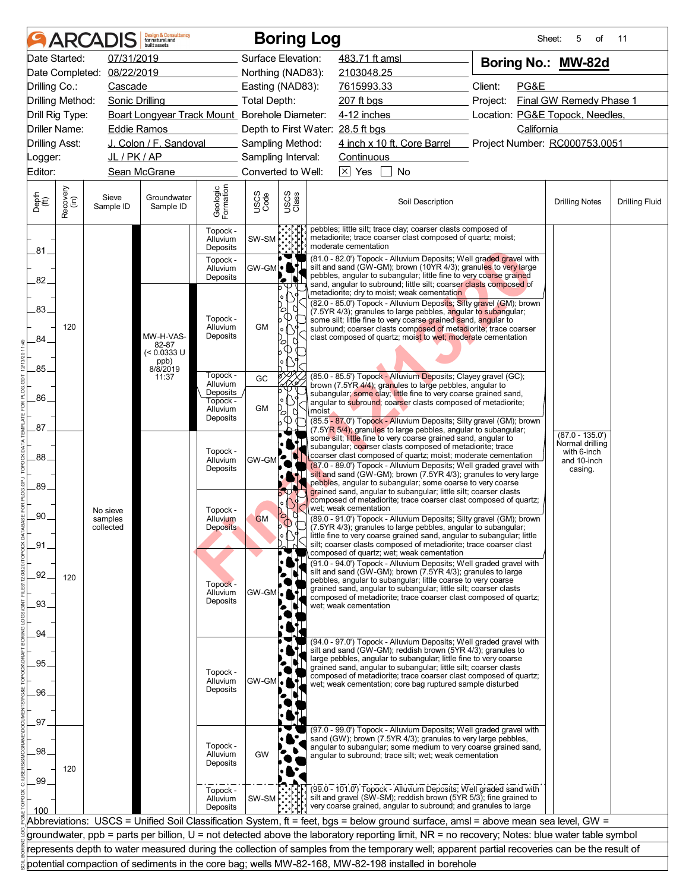|                                  |                  | <b>ARCADIS</b>        | <b>Design &amp; Consultancy</b><br>for natural and<br>huilt assets |                                  |                                        |                                       | <b>Boring Log</b>                                                                                                                                                                                                                                                                 | Sheet:                                      | 5<br>of                              | 11                    |
|----------------------------------|------------------|-----------------------|--------------------------------------------------------------------|----------------------------------|----------------------------------------|---------------------------------------|-----------------------------------------------------------------------------------------------------------------------------------------------------------------------------------------------------------------------------------------------------------------------------------|---------------------------------------------|--------------------------------------|-----------------------|
|                                  | Date Started:    | 07/31/2019            |                                                                    |                                  | Surface Elevation:                     |                                       | 483.71 ft amsl                                                                                                                                                                                                                                                                    | Boring No.: MW-82d                          |                                      |                       |
|                                  | Date Completed:  | 08/22/2019            |                                                                    |                                  | Northing (NAD83):                      |                                       | 2103048.25                                                                                                                                                                                                                                                                        |                                             |                                      |                       |
| Drilling Co.:                    |                  | Cascade               |                                                                    |                                  | Easting (NAD83):                       |                                       | 7615993.33                                                                                                                                                                                                                                                                        | Client:<br>PG&E                             |                                      |                       |
| Drilling Method:                 |                  | <b>Sonic Drilling</b> |                                                                    |                                  | <b>Total Depth:</b>                    |                                       | 207 ft bgs                                                                                                                                                                                                                                                                        | Project:                                    | Final GW Remedy Phase 1              |                       |
|                                  | Drill Rig Type:  |                       | Boart Longyear Track Mount_ Borehole Diameter:                     |                                  |                                        |                                       | 4-12 inches                                                                                                                                                                                                                                                                       | Location: PG&E Topock, Needles,             |                                      |                       |
|                                  | Driller Name:    | Eddie Ramos           | J. Colon / F. Sandoval                                             |                                  |                                        |                                       | Depth to First Water: 28.5 ft bgs<br>4 inch x 10 ft. Core Barrel                                                                                                                                                                                                                  | California<br>Project Number: RC000753.0051 |                                      |                       |
| <b>Drilling Asst:</b><br>_ogger: |                  | JL/PK/AP              |                                                                    |                                  | Sampling Method:<br>Sampling Interval: |                                       | Continuous                                                                                                                                                                                                                                                                        |                                             |                                      |                       |
| Editor:                          |                  |                       | Sean McGrane                                                       |                                  | Converted to Well:                     |                                       | $\boxed{\times}$ Yes<br><b>No</b>                                                                                                                                                                                                                                                 |                                             |                                      |                       |
|                                  |                  |                       |                                                                    |                                  |                                        |                                       |                                                                                                                                                                                                                                                                                   |                                             |                                      |                       |
| Depth<br>(ft)                    | Recovery<br>(in) | Sieve<br>Sample ID    | Groundwater<br>Sample ID                                           | Geologic<br>Formation            | USCS<br>Code                           | USCS<br>Class                         | Soil Description                                                                                                                                                                                                                                                                  |                                             | <b>Drilling Notes</b>                | <b>Drilling Fluid</b> |
| .81.                             |                  |                       |                                                                    | Topock -<br>Alluvium<br>Deposits | SW-SM                                  |                                       | pebbles; little silt; trace clay; coarser clasts composed of<br>metadiorite; trace coarser clast composed of quartz; moist;<br>moderate cementation                                                                                                                               |                                             |                                      |                       |
| 82.                              |                  |                       |                                                                    | Topock -<br>Alluvium<br>Deposits | GW-GM                                  | !• <br>И                              | (81.0 - 82.0") Topock - Alluvium Deposits; Well graded gravel with<br>silt and sand (GW-GM); brown (10YR 4/3); granules to very large<br>pebbles, angular to subangular; little fine to very coarse grained<br>sand, angular to subround; little silt; coarser clasts composed of |                                             |                                      |                       |
|                                  |                  |                       |                                                                    |                                  |                                        | b<br>l o                              | metadiorite; dry to moist; weak cementatio <mark>n</mark>                                                                                                                                                                                                                         |                                             |                                      |                       |
| 83.                              |                  |                       |                                                                    |                                  |                                        | $\sim$<br>➀                           | (82.0 - 85.0') Topock - Alluvium Deposits; Silty gravel (GM); brown<br>(7.5YR 4/3); granules to large pebbles, angular to subangular;                                                                                                                                             |                                             |                                      |                       |
|                                  | 120              |                       |                                                                    | Topock -<br>Alluvium             | <b>GM</b>                              | ۱o                                    | some silt; little fine to very coarse grained sand, angular to<br>subround; coarser clasts composed of metadiorite; trace coarser                                                                                                                                                 |                                             |                                      |                       |
| 84                               |                  |                       | MW-H-VAS-<br>82-87                                                 | Deposits                         |                                        | $\epsilon$                            | clast composed of quartz; moist to wet; moderate cementation                                                                                                                                                                                                                      |                                             |                                      |                       |
|                                  |                  |                       | $(< 0.0333$ U<br>ppb)<br>8/8/2019                                  |                                  |                                        | ۰o                                    |                                                                                                                                                                                                                                                                                   |                                             |                                      |                       |
| .85.                             |                  |                       | 11:37                                                              | Topock -                         | GC                                     |                                       | (85.0 - 85.5') Topock - Alluvium Deposits; Clayey gravel (GC);                                                                                                                                                                                                                    |                                             |                                      |                       |
| 86.                              |                  |                       |                                                                    | Alluvium<br>Deposits             |                                        | Ф<br>b                                | brown (7.5YR 4/4); granules to large pebbles, angular to<br>subangular; some clay; little fine to very coarse grained sand,                                                                                                                                                       |                                             |                                      |                       |
|                                  |                  |                       |                                                                    | Topock -<br>Alluvium             | <b>GM</b>                              | $\sim$                                | angular to subround; coarser clasts composed of metadiorite;<br>moist                                                                                                                                                                                                             |                                             |                                      |                       |
| .87.                             |                  |                       |                                                                    | Deposits                         |                                        | Φ                                     | (85.5 - 87.0') Topock - Alluvium Deposits; Silty gravel (GM); brown<br>(7.5YR 5/4); granules to large pebbles, angular to subangular;                                                                                                                                             |                                             |                                      |                       |
|                                  |                  |                       |                                                                    |                                  |                                        |                                       | some silt; little fine to very coarse grained sand, angular to<br>subangular; coarser clasts composed of metadiorite; trace                                                                                                                                                       |                                             | $(87.0 - 135.0')$<br>Normal drilling |                       |
| .88.                             |                  |                       |                                                                    | Topock -<br>Alluvium             | <b>GW-GM</b>                           | O.                                    | coarser clast composed of quartz; moist; moderate cementation                                                                                                                                                                                                                     |                                             | with 6-inch<br>and 10-inch           |                       |
|                                  |                  |                       |                                                                    | Deposits                         |                                        |                                       | (87.0 - 89.0') Topock - Alluvium Deposits; Well graded gravel with<br>silt and sand (GW-GM); brown (7.5YR 4/3); granules to very large                                                                                                                                            |                                             | casing.                              |                       |
| 89.                              |                  |                       |                                                                    |                                  |                                        |                                       | pebbles, angular to subangular; some coarse to very coarse<br>grained sand, angular to subangular; little silt; coarser clasts                                                                                                                                                    |                                             |                                      |                       |
|                                  |                  |                       |                                                                    |                                  |                                        | ∣o l                                  | composed of metadiorite; trace coarser clast composed of quartz;<br>wet; weak cementation                                                                                                                                                                                         |                                             |                                      |                       |
| 90.                              |                  | No sieve<br>samples   |                                                                    | Topock -<br>Alluvium             | <b>GM</b>                              | $P_{\!\!\sigma}$<br>Ø<br>$\mathbb{O}$ | (89.0 - 91.0') Topock - Alluvium Deposits; Silty gravel (GM); brown                                                                                                                                                                                                               |                                             |                                      |                       |
|                                  |                  | collected             |                                                                    | <b>Deposits</b>                  |                                        |                                       | (7.5YR 4/3); granules to large pebbles, angular to subangular;<br>little fine to very coarse grained sand, angular to subangular; little                                                                                                                                          |                                             |                                      |                       |
| _91                              |                  |                       |                                                                    |                                  |                                        |                                       | silt; coarser clasts composed of metadiorite; trace coarser clast<br>composed of quartz; wet; weak cementation                                                                                                                                                                    |                                             |                                      |                       |
|                                  |                  |                       |                                                                    |                                  |                                        |                                       | (91.0 - 94.0') Topock - Alluvium Deposits; Well graded gravel with<br>silt and sand (GW-GM); brown (7.5YR 4/3); granules to large                                                                                                                                                 |                                             |                                      |                       |
| .92.                             | 120              |                       |                                                                    | Topock -                         |                                        |                                       | pebbles, angular to subangular; little coarse to very coarse<br>grained sand, angular to subangular; little silt; coarser clasts                                                                                                                                                  |                                             |                                      |                       |
| .93.                             |                  |                       |                                                                    | Alluvium<br>Deposits             | <b>GW-GM</b>                           |                                       | composed of metadiorite; trace coarser clast composed of quartz;                                                                                                                                                                                                                  |                                             |                                      |                       |
|                                  |                  |                       |                                                                    |                                  |                                        |                                       | wet; weak cementation                                                                                                                                                                                                                                                             |                                             |                                      |                       |
| .94                              |                  |                       |                                                                    |                                  |                                        |                                       |                                                                                                                                                                                                                                                                                   |                                             |                                      |                       |
|                                  |                  |                       |                                                                    |                                  |                                        |                                       | (94.0 - 97.0') Topock - Alluvium Deposits; Well graded gravel with<br>silt and sand (GW-GM); reddish brown (5YR 4/3); granules to                                                                                                                                                 |                                             |                                      |                       |
| 95.                              |                  |                       |                                                                    |                                  |                                        |                                       | large pebbles, angular to subangular; little fine to very coarse<br>grained sand, angular to subangular; little silt; coarser clasts                                                                                                                                              |                                             |                                      |                       |
|                                  |                  |                       |                                                                    | Topock -<br>Alluvium             | $GW-GM$                                |                                       | composed of metadiorite; trace coarser clast composed of quartz;<br>wet; weak cementation; core bag ruptured sample disturbed                                                                                                                                                     |                                             |                                      |                       |
| .96.                             |                  |                       |                                                                    | Deposits                         |                                        |                                       |                                                                                                                                                                                                                                                                                   |                                             |                                      |                       |
|                                  |                  |                       |                                                                    |                                  |                                        |                                       |                                                                                                                                                                                                                                                                                   |                                             |                                      |                       |
| 97                               |                  |                       |                                                                    |                                  |                                        |                                       | (97.0 - 99.0') Topock - Alluvium Deposits; Well graded gravel with                                                                                                                                                                                                                |                                             |                                      |                       |
|                                  |                  |                       |                                                                    | Topock -                         |                                        |                                       | sand (GW); brown (7.5YR 4/3); granules to very large pebbles,<br>angular to subangular; some medium to very coarse grained sand,                                                                                                                                                  |                                             |                                      |                       |
| .98.                             |                  |                       |                                                                    | Alluvium<br>Deposits             | GW                                     |                                       | angular to subround; trace silt; wet; weak cementation                                                                                                                                                                                                                            |                                             |                                      |                       |
|                                  | 120              |                       |                                                                    |                                  |                                        |                                       |                                                                                                                                                                                                                                                                                   |                                             |                                      |                       |
| .99                              |                  |                       |                                                                    | Topock -                         |                                        |                                       | (99.0 - 101.0') Topock - Alluvium Deposits; Well graded sand with                                                                                                                                                                                                                 |                                             |                                      |                       |
| 100                              |                  |                       |                                                                    | Alluvium<br>Deposits             | SW-SM                                  |                                       | silt and gravel (SW-SM); reddish brown (5YR 5/3); fine grained to<br>very coarse grained, angular to subround; and granules to large                                                                                                                                              |                                             |                                      |                       |
|                                  |                  |                       |                                                                    |                                  |                                        |                                       | Abbreviations: USCS = Unified Soil Classification System, ft = feet, bgs = below ground surface, amsl = above mean sea level, GW =                                                                                                                                                |                                             |                                      |                       |
|                                  |                  |                       |                                                                    |                                  |                                        |                                       | groundwater, ppb = parts per billion, U = not detected above the laboratory reporting limit, NR = no recovery; Notes: blue water table symbol                                                                                                                                     |                                             |                                      |                       |
|                                  |                  |                       |                                                                    |                                  |                                        |                                       | represents depth to water measured during the collection of samples from the temporary well; apparent partial recoveries can be the result of                                                                                                                                     |                                             |                                      |                       |
|                                  |                  |                       |                                                                    |                                  |                                        |                                       | potential compaction of sediments in the core bag; wells MW-82-168, MW-82-198 installed in borehole                                                                                                                                                                               |                                             |                                      |                       |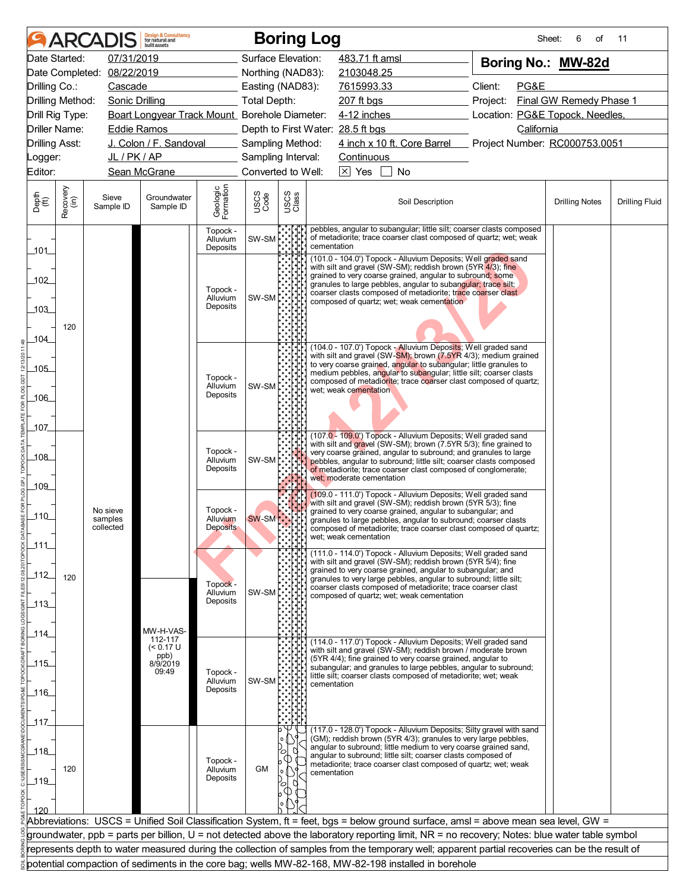|                       |                      |                       | <b>Design &amp; Consultancy</b><br>for natural and<br>built assets |                                  |                                          |               | <b>Boring Log</b>                                                                                                                                                                                                                                                                              | Sheet:                          | 6<br>οf                 | 11                    |
|-----------------------|----------------------|-----------------------|--------------------------------------------------------------------|----------------------------------|------------------------------------------|---------------|------------------------------------------------------------------------------------------------------------------------------------------------------------------------------------------------------------------------------------------------------------------------------------------------|---------------------------------|-------------------------|-----------------------|
|                       | Date Started:        | 07/31/2019            |                                                                    |                                  | Surface Elevation:                       |               | 483.71 ft amsl                                                                                                                                                                                                                                                                                 | Boring No.: MW-82d              |                         |                       |
|                       | Date Completed:      | 08/22/2019            |                                                                    |                                  | Northing (NAD83):                        |               | 2103048.25                                                                                                                                                                                                                                                                                     |                                 |                         |                       |
| Drilling Co.:         |                      | Cascade               |                                                                    |                                  | Easting (NAD83):                         |               | 7615993.33                                                                                                                                                                                                                                                                                     | Client:<br>PG&E                 |                         |                       |
| Drilling Method:      |                      | <b>Sonic Drilling</b> |                                                                    |                                  | <b>Total Depth:</b>                      |               | 207 ft bgs                                                                                                                                                                                                                                                                                     | Project:                        | Final GW Remedy Phase 1 |                       |
| Drill Rig Type:       |                      |                       | Boart Longyear Track Mount_Borehole Diameter:                      |                                  |                                          |               | 4-12 inches                                                                                                                                                                                                                                                                                    | Location: PG&E Topock, Needles, |                         |                       |
|                       | <b>Driller Name:</b> | Eddie Ramos           |                                                                    |                                  |                                          |               | Depth to First Water: 28.5 ft bgs                                                                                                                                                                                                                                                              | California                      |                         |                       |
| <b>Drilling Asst:</b> |                      |                       | J. Colon / F. Sandoval                                             |                                  | Sampling Method:                         |               | 4 inch x 10 ft. Core Barrel                                                                                                                                                                                                                                                                    | Project Number: RC000753.0051   |                         |                       |
| _ogger:               |                      | JL / PK / AP          |                                                                    |                                  | Sampling Interval:<br>Converted to Well: |               | Continuous<br>$\boxed{\times}$ Yes<br><b>No</b>                                                                                                                                                                                                                                                |                                 |                         |                       |
| Editor:               |                      |                       | Sean McGrane                                                       |                                  |                                          |               |                                                                                                                                                                                                                                                                                                |                                 |                         |                       |
| Depth<br>(ft)         | Recovery<br>(in)     | Sieve<br>Sample ID    | Groundwater<br>Sample ID                                           | Geologic<br>Formation            | USCS<br>Code                             | USCS<br>Class | Soil Description                                                                                                                                                                                                                                                                               |                                 | <b>Drilling Notes</b>   | <b>Drilling Fluid</b> |
| $-101$                |                      |                       |                                                                    | Topock -<br>Alluvium<br>Deposits | SW-SM                                    |               | pebbles, angular to subangular; little silt; coarser clasts composed<br>of metadiorite; trace coarser clast composed of quartz; wet; weak<br>cementation                                                                                                                                       |                                 |                         |                       |
| 102                   |                      |                       |                                                                    |                                  |                                          |               | (101.0 - 104.0') Topock - Alluvium Deposits; Well graded sand<br>with silt and gravel (SW-SM); reddish brown (5YR 4/3); fine<br>grained to very coarse grained, angular to subround; some                                                                                                      |                                 |                         |                       |
|                       |                      |                       |                                                                    | Topock -<br>Alluvium             | SW-SM                                    |               | granules to large pebbles, angular to subangular; trace silt;<br>coarser clasts composed of metadiorite; trace coarser clast                                                                                                                                                                   |                                 |                         |                       |
| 103                   |                      |                       |                                                                    | Deposits                         |                                          |               | composed of quartz; wet; weak cementation                                                                                                                                                                                                                                                      |                                 |                         |                       |
|                       | 120                  |                       |                                                                    |                                  |                                          |               |                                                                                                                                                                                                                                                                                                |                                 |                         |                       |
| 104                   |                      |                       |                                                                    |                                  |                                          |               | (104.0 - 107.0') Topock - Alluvium Deposits; Well graded sand                                                                                                                                                                                                                                  |                                 |                         |                       |
|                       |                      |                       |                                                                    |                                  |                                          |               | with silt and gravel (SW-SM); brown (7.5YR 4/3); medium grained                                                                                                                                                                                                                                |                                 |                         |                       |
| $-105$                |                      |                       |                                                                    | Topock -                         |                                          |               | to very coarse grained, angular to subangular; little granules to<br>medium pebbles, angular to subangular; little silt; coarser clasts                                                                                                                                                        |                                 |                         |                       |
|                       |                      |                       |                                                                    | Alluvium                         | SW-SM                                    |               | composed of metadiorite; trace coarser clast composed of quartz;<br>wet; weak cementation                                                                                                                                                                                                      |                                 |                         |                       |
| _106_                 |                      |                       |                                                                    | Deposits                         |                                          |               |                                                                                                                                                                                                                                                                                                |                                 |                         |                       |
|                       |                      |                       |                                                                    |                                  |                                          |               |                                                                                                                                                                                                                                                                                                |                                 |                         |                       |
| 107                   |                      |                       |                                                                    |                                  |                                          |               | (107.0 - 109.0') Topock - Alluvium Deposits; Well graded sand                                                                                                                                                                                                                                  |                                 |                         |                       |
| _108_                 |                      |                       |                                                                    | Topock -                         |                                          |               | with silt and gravel (SW-SM); brown (7.5YR 5/3); fine grained to<br>very coarse grained, angular to subround; and granules to large                                                                                                                                                            |                                 |                         |                       |
|                       |                      |                       |                                                                    | Alluvium<br>Deposits             | SW-SM                                    |               | pebbles, angular to subround; little silt; coarser clasts composed<br>of metadiorite; trace coarser clast composed of conglomerate;                                                                                                                                                            |                                 |                         |                       |
| $-109$                |                      |                       |                                                                    |                                  |                                          |               | wet: moderate cementation                                                                                                                                                                                                                                                                      |                                 |                         |                       |
|                       |                      |                       |                                                                    |                                  |                                          |               | (109.0 - 111.0') Topock - Alluvium Deposits; Well graded sand<br>with silt and gravel (SW-SM); reddish brown (5YR 5/3); fine                                                                                                                                                                   |                                 |                         |                       |
| $-110$                |                      | No sieve<br>samples   |                                                                    | Topock -<br>Alluvium             | <b>SW-SM</b>                             |               | grained to very coarse grained, angular to subangular; and<br>granules to large pebbles, angular to subround; coarser clasts                                                                                                                                                                   |                                 |                         |                       |
|                       |                      | collected             |                                                                    | <b>Deposits</b>                  |                                          |               | composed of metadiorite; trace coarser clast composed of quartz;<br>wet: weak cementation                                                                                                                                                                                                      |                                 |                         |                       |
| 111                   |                      |                       |                                                                    |                                  |                                          |               |                                                                                                                                                                                                                                                                                                |                                 |                         |                       |
|                       |                      |                       |                                                                    |                                  |                                          |               | (111.0 - 114.0') Topock - Alluvium Deposits; Well graded sand<br>with silt and gravel (SW-SM); reddish brown (5YR 5/4); fine                                                                                                                                                                   |                                 |                         |                       |
| $-112$                | 120                  |                       |                                                                    | Topock -                         |                                          |               | grained to very coarse grained, angular to subangular; and<br>granules to very large pebbles, angular to subround; little silt;                                                                                                                                                                |                                 |                         |                       |
|                       |                      |                       |                                                                    | Alluvium                         | SW-SM                                    |               | coarser clasts composed of metadiorite; trace coarser clast<br>composed of quartz; wet; weak cementation                                                                                                                                                                                       |                                 |                         |                       |
| $-113$                |                      |                       |                                                                    | Deposits                         |                                          |               |                                                                                                                                                                                                                                                                                                |                                 |                         |                       |
|                       |                      |                       | MW-H-VAS-                                                          |                                  |                                          |               |                                                                                                                                                                                                                                                                                                |                                 |                         |                       |
| 114                   |                      |                       | 112-117                                                            |                                  |                                          |               | (114.0 - 117.0') Topock - Alluvium Deposits; Well graded sand                                                                                                                                                                                                                                  |                                 |                         |                       |
|                       |                      |                       | $(< 0.17$ U<br>ppb)<br>8/9/2019                                    |                                  |                                          |               | with silt and gravel (SW-SM); reddish brown / moderate brown<br>(5YR 4/4); fine grained to very coarse grained, angular to                                                                                                                                                                     |                                 |                         |                       |
| $-115$                |                      |                       | 09:49                                                              | Topock -                         |                                          |               | subangular; and granules to large pebbles, angular to subround;<br>little silt; coarser clasts composed of metadiorite; wet; weak                                                                                                                                                              |                                 |                         |                       |
| $-116$                |                      |                       |                                                                    | Alluvium<br>Deposits             | SW-SM                                    |               | cementation                                                                                                                                                                                                                                                                                    |                                 |                         |                       |
|                       |                      |                       |                                                                    |                                  |                                          |               |                                                                                                                                                                                                                                                                                                |                                 |                         |                       |
| _117_                 |                      |                       |                                                                    |                                  |                                          |               |                                                                                                                                                                                                                                                                                                |                                 |                         |                       |
|                       |                      |                       |                                                                    |                                  |                                          |               | (117.0 - 128.0') Topock - Alluvium Deposits; Silty gravel with sand<br>(GM); reddish brown (5YR 4/3); granules to very large pebbles,                                                                                                                                                          |                                 |                         |                       |
| 118                   |                      |                       |                                                                    |                                  |                                          | ⌒             | angular to subround; little medium to very coarse grained sand,<br>angular to subround; little silt; coarser clasts composed of                                                                                                                                                                |                                 |                         |                       |
|                       | 120                  |                       |                                                                    | Topock -<br>Alluvium             | <b>GM</b>                                | U)            | metadiorite; trace coarser clast composed of quartz; wet; weak                                                                                                                                                                                                                                 |                                 |                         |                       |
| $\_119$               |                      |                       |                                                                    | Deposits                         |                                          |               | cementation                                                                                                                                                                                                                                                                                    |                                 |                         |                       |
|                       |                      |                       |                                                                    |                                  |                                          |               |                                                                                                                                                                                                                                                                                                |                                 |                         |                       |
| 120                   |                      |                       |                                                                    |                                  |                                          |               |                                                                                                                                                                                                                                                                                                |                                 |                         |                       |
|                       |                      |                       |                                                                    |                                  |                                          |               | Abbreviations: USCS = Unified Soil Classification System, ft = feet, bgs = below ground surface, amsl = above mean sea level, GW =                                                                                                                                                             |                                 |                         |                       |
|                       |                      |                       |                                                                    |                                  |                                          |               | groundwater, ppb = parts per billion, U = not detected above the laboratory reporting limit, NR = no recovery; Notes: blue water table symbol<br>represents depth to water measured during the collection of samples from the temporary well; apparent partial recoveries can be the result of |                                 |                         |                       |
|                       |                      |                       |                                                                    |                                  |                                          |               | potential compaction of sediments in the core bag; wells MW-82-168, MW-82-198 installed in borehole                                                                                                                                                                                            |                                 |                         |                       |
|                       |                      |                       |                                                                    |                                  |                                          |               |                                                                                                                                                                                                                                                                                                |                                 |                         |                       |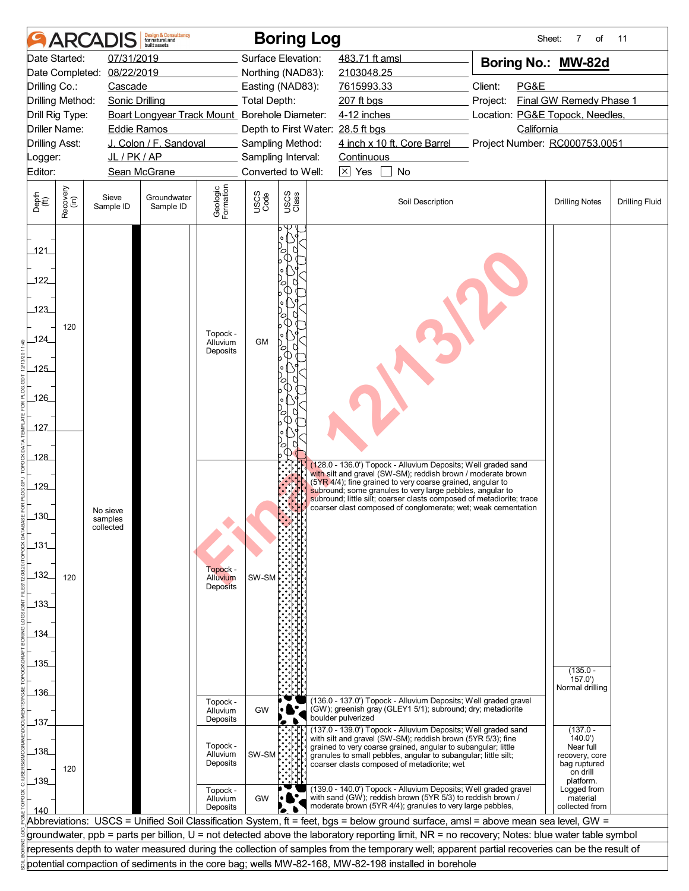|                       |                                     | ARCAD                 | <b>Design &amp; Consultancy</b><br>for natural and<br>huilt assets |                             |                     | <b>Boring Log</b>  |                                                 |                                                                                                                                                                                            | Sheet:                                                                                                                                        | 7<br>οf                                   | 11                    |
|-----------------------|-------------------------------------|-----------------------|--------------------------------------------------------------------|-----------------------------|---------------------|--------------------|-------------------------------------------------|--------------------------------------------------------------------------------------------------------------------------------------------------------------------------------------------|-----------------------------------------------------------------------------------------------------------------------------------------------|-------------------------------------------|-----------------------|
|                       | Date Started:                       | 07/31/2019            |                                                                    |                             |                     | Surface Elevation: | 483.71 ft amsl                                  |                                                                                                                                                                                            | Boring No.: MW-82d                                                                                                                            |                                           |                       |
|                       | Date Completed:                     | 08/22/2019            |                                                                    |                             |                     | Northing (NAD83):  | 2103048.25                                      |                                                                                                                                                                                            |                                                                                                                                               |                                           |                       |
| Drilling Co.:         |                                     | Cascade               |                                                                    |                             |                     | Easting (NAD83):   | 7615993.33                                      |                                                                                                                                                                                            | Client:<br>PG&E                                                                                                                               |                                           |                       |
|                       | Drilling Method:<br>Drill Rig Type: | <b>Sonic Drilling</b> | Boart Longyear Track Mount_Borehole Diameter:                      |                             | <b>Total Depth:</b> |                    | 207 ft bgs<br>4-12 inches                       |                                                                                                                                                                                            | Project:<br>Location: PG&E Topock, Needles,                                                                                                   | Final GW Remedy Phase 1                   |                       |
|                       | Driller Name:                       | <b>Eddie Ramos</b>    |                                                                    |                             |                     |                    | California<br>Depth to First Water: 28.5 ft bgs |                                                                                                                                                                                            |                                                                                                                                               |                                           |                       |
| <b>Drilling Asst:</b> |                                     |                       | J. Colon / F. Sandoval                                             |                             |                     | Sampling Method:   |                                                 | 4 inch x 10 ft. Core Barrel                                                                                                                                                                | Project Number: RC000753.0051                                                                                                                 |                                           |                       |
| Logger:               |                                     | JL/PK/AP              |                                                                    |                             |                     | Sampling Interval: | Continuous                                      |                                                                                                                                                                                            |                                                                                                                                               |                                           |                       |
| Editor:               |                                     |                       | Sean McGrane                                                       |                             |                     | Converted to Well: | $\boxtimes$ Yes                                 | <b>No</b>                                                                                                                                                                                  |                                                                                                                                               |                                           |                       |
| Depth<br>(ft)         | Recovery<br>(in)                    | Sieve<br>Sample ID    | Groundwater<br>Sample ID                                           | Geologic<br>Formation       | USCS<br>Code        | USCS<br>Class      |                                                 | Soil Description                                                                                                                                                                           |                                                                                                                                               | <b>Drilling Notes</b>                     | <b>Drilling Fluid</b> |
| 121<br>122            |                                     |                       |                                                                    |                             |                     |                    |                                                 |                                                                                                                                                                                            |                                                                                                                                               |                                           |                       |
| .123                  |                                     |                       |                                                                    |                             |                     |                    |                                                 |                                                                                                                                                                                            |                                                                                                                                               |                                           |                       |
| 124                   | 120                                 |                       |                                                                    | Topock -<br>Alluvium        | <b>GM</b>           |                    |                                                 |                                                                                                                                                                                            |                                                                                                                                               |                                           |                       |
|                       |                                     |                       |                                                                    | Deposits                    |                     |                    |                                                 |                                                                                                                                                                                            |                                                                                                                                               |                                           |                       |
| $-125$                |                                     |                       |                                                                    |                             |                     |                    |                                                 |                                                                                                                                                                                            |                                                                                                                                               |                                           |                       |
| 126                   |                                     |                       |                                                                    |                             |                     |                    |                                                 |                                                                                                                                                                                            |                                                                                                                                               |                                           |                       |
| 127                   |                                     |                       |                                                                    |                             |                     |                    |                                                 |                                                                                                                                                                                            |                                                                                                                                               |                                           |                       |
|                       |                                     |                       |                                                                    |                             |                     |                    |                                                 |                                                                                                                                                                                            |                                                                                                                                               |                                           |                       |
| .128                  |                                     |                       |                                                                    |                             |                     |                    |                                                 | (128.0 - 136.0') Topock - Alluvium Deposits; Well graded sand<br>with silt and gravel (SW-SM); reddish brown / moderate brown                                                              |                                                                                                                                               |                                           |                       |
| 129                   |                                     |                       |                                                                    |                             |                     |                    |                                                 | (5YR 4/4); fine grained to very coarse grained, angular to<br>subround; some granules to very large pebbles, angular to                                                                    |                                                                                                                                               |                                           |                       |
|                       |                                     |                       |                                                                    |                             |                     |                    |                                                 | subround; little silt; coarser clasts composed of metadiorite; trace<br>coarser clast composed of conglomerate; wet; weak cementation                                                      |                                                                                                                                               |                                           |                       |
| $\overline{130}$      |                                     | No sieve<br>samples   |                                                                    |                             |                     |                    |                                                 |                                                                                                                                                                                            |                                                                                                                                               |                                           |                       |
|                       |                                     | collected             |                                                                    |                             |                     |                    |                                                 |                                                                                                                                                                                            |                                                                                                                                               |                                           |                       |
| $131$                 |                                     |                       |                                                                    |                             |                     |                    |                                                 |                                                                                                                                                                                            |                                                                                                                                               |                                           |                       |
| 132                   |                                     |                       |                                                                    | Topock -                    |                     |                    |                                                 |                                                                                                                                                                                            |                                                                                                                                               |                                           |                       |
|                       | 120                                 |                       |                                                                    | Alluvium<br><b>Deposits</b> | SW-SM               |                    |                                                 |                                                                                                                                                                                            |                                                                                                                                               |                                           |                       |
| $-133$                |                                     |                       |                                                                    |                             |                     |                    |                                                 |                                                                                                                                                                                            |                                                                                                                                               |                                           |                       |
|                       |                                     |                       |                                                                    |                             |                     |                    |                                                 |                                                                                                                                                                                            |                                                                                                                                               |                                           |                       |
| 134                   |                                     |                       |                                                                    |                             |                     |                    |                                                 |                                                                                                                                                                                            |                                                                                                                                               |                                           |                       |
| 135                   |                                     |                       |                                                                    |                             |                     |                    |                                                 |                                                                                                                                                                                            |                                                                                                                                               |                                           |                       |
|                       |                                     |                       |                                                                    |                             |                     |                    |                                                 |                                                                                                                                                                                            |                                                                                                                                               | $(135.0 -$<br>157.0'                      |                       |
| 136                   |                                     |                       |                                                                    |                             |                     |                    |                                                 |                                                                                                                                                                                            |                                                                                                                                               | Normal drilling                           |                       |
|                       |                                     |                       |                                                                    | Topock -<br>Alluvium        | <b>GW</b>           |                    |                                                 | (136.0 - 137.0') Topock - Alluvium Deposits; Well graded gravel<br>(GW); greenish gray (GLEY1 5/1); subround; dry; metadiorite                                                             |                                                                                                                                               |                                           |                       |
| 137                   |                                     |                       |                                                                    | Deposits                    |                     |                    | boulder pulverized                              | (137.0 - 139.0') Topock - Alluvium Deposits; Well graded sand                                                                                                                              |                                                                                                                                               | $(137.0 -$                                |                       |
|                       |                                     |                       |                                                                    | Topock -                    |                     |                    |                                                 | with silt and gravel (SW-SM); reddish brown (5YR 5/3); fine<br>grained to very coarse grained, angular to subangular; little                                                               |                                                                                                                                               | 140.0'<br>Near full                       |                       |
| 138                   |                                     |                       |                                                                    | Alluvium<br>Deposits        | SW-SM               |                    |                                                 | granules to small pebbles, angular to subangular; little silt;<br>coarser clasts composed of metadiorite; wet                                                                              |                                                                                                                                               | recovery, core<br>bag ruptured            |                       |
| 139                   | 120                                 |                       |                                                                    |                             |                     |                    |                                                 |                                                                                                                                                                                            |                                                                                                                                               | on drill<br>platform.                     |                       |
|                       |                                     |                       |                                                                    | Topock -<br>Alluvium        | GW                  |                    |                                                 | (139.0 - 140.0') Topock - Alluvium Deposits; Well graded gravel<br>with sand (GW); reddish brown (5YR 5/3) to reddish brown /<br>moderate brown (5YR 4/4); granules to very large pebbles, |                                                                                                                                               | Logged from<br>material<br>collected from |                       |
| 140                   |                                     |                       |                                                                    | Deposits                    |                     |                    |                                                 |                                                                                                                                                                                            | Abbreviations: USCS = Unified Soil Classification System, ft = feet, bgs = below ground surface, amsl = above mean sea level, GW =            |                                           |                       |
|                       |                                     |                       |                                                                    |                             |                     |                    |                                                 |                                                                                                                                                                                            | groundwater, ppb = parts per billion, U = not detected above the laboratory reporting limit, NR = no recovery; Notes: blue water table symbol |                                           |                       |
|                       |                                     |                       |                                                                    |                             |                     |                    |                                                 |                                                                                                                                                                                            | represents depth to water measured during the collection of samples from the temporary well; apparent partial recoveries can be the result of |                                           |                       |
|                       |                                     |                       |                                                                    |                             |                     |                    |                                                 | potential compaction of sediments in the core bag; wells MW-82-168, MW-82-198 installed in borehole                                                                                        |                                                                                                                                               |                                           |                       |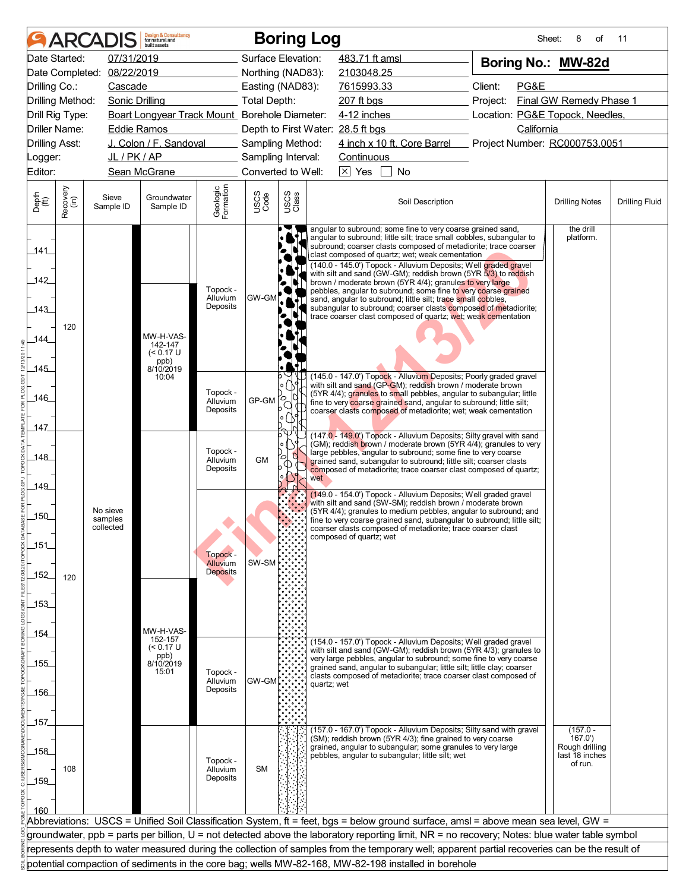|                                  | ARCAI            |                            | <b>Design &amp; Consultancy</b><br>for natural and<br>huilt assets |                                  |                                        |               | <b>Boring Log</b>                                                                                                                                                                                                                                                                                                                                                                                                                                                                                                            | Sheet:                          | 8<br>of                                                   | 11                    |
|----------------------------------|------------------|----------------------------|--------------------------------------------------------------------|----------------------------------|----------------------------------------|---------------|------------------------------------------------------------------------------------------------------------------------------------------------------------------------------------------------------------------------------------------------------------------------------------------------------------------------------------------------------------------------------------------------------------------------------------------------------------------------------------------------------------------------------|---------------------------------|-----------------------------------------------------------|-----------------------|
| Date Started:                    |                  | 07/31/2019                 |                                                                    |                                  | Surface Elevation:                     |               | 483.71 ft amsl                                                                                                                                                                                                                                                                                                                                                                                                                                                                                                               | Boring No.: MW-82d              |                                                           |                       |
|                                  |                  | Date Completed: 08/22/2019 |                                                                    |                                  | Northing (NAD83):                      |               | 2103048.25                                                                                                                                                                                                                                                                                                                                                                                                                                                                                                                   |                                 |                                                           |                       |
| Drilling Co.:                    |                  | Cascade                    |                                                                    |                                  | Easting (NAD83):                       |               | 7615993.33                                                                                                                                                                                                                                                                                                                                                                                                                                                                                                                   | Client:<br>PG&E                 |                                                           |                       |
| Drilling Method:                 |                  | <b>Sonic Drilling</b>      |                                                                    |                                  | <b>Total Depth:</b>                    |               | 207 ft bgs                                                                                                                                                                                                                                                                                                                                                                                                                                                                                                                   | Project:                        | Final GW Remedy Phase 1                                   |                       |
| Drill Rig Type:                  |                  |                            | Boart Longyear Track Mount_Borehole Diameter:                      |                                  |                                        |               | 4-12 inches                                                                                                                                                                                                                                                                                                                                                                                                                                                                                                                  | Location: PG&E Topock, Needles, |                                                           |                       |
| Driller Name:                    |                  | Eddie Ramos                |                                                                    |                                  |                                        |               | Depth to First Water: 28.5 ft bgs<br>4 inch x 10 ft. Core Barrel                                                                                                                                                                                                                                                                                                                                                                                                                                                             | California                      |                                                           |                       |
| <b>Drilling Asst:</b><br>_ogger: |                  | JL/PK/AP                   | J. Colon / F. Sandoval                                             |                                  | Sampling Method:<br>Sampling Interval: |               | Continuous                                                                                                                                                                                                                                                                                                                                                                                                                                                                                                                   | Project Number: RC000753.0051   |                                                           |                       |
| Editor:                          |                  |                            | Sean McGrane                                                       |                                  | Converted to Well:                     |               | $\boxed{\times}$ Yes<br>No                                                                                                                                                                                                                                                                                                                                                                                                                                                                                                   |                                 |                                                           |                       |
|                                  |                  |                            |                                                                    |                                  |                                        |               |                                                                                                                                                                                                                                                                                                                                                                                                                                                                                                                              |                                 |                                                           |                       |
| Depth<br>(ft)                    | Recovery<br>(in) | Sieve<br>Sample ID         | Groundwater<br>Sample ID                                           | Geologic<br>Formation            | USCS<br>Code                           | USCS<br>Class | Soil Description                                                                                                                                                                                                                                                                                                                                                                                                                                                                                                             |                                 | <b>Drilling Notes</b>                                     | <b>Drilling Fluid</b> |
| 141<br>142                       |                  |                            |                                                                    | Topock -                         |                                        |               | angular to subround; some fine to very coarse grained sand,<br>angular to subround; little silt; trace small cobbles, subangular to<br>subround; coarser clasts composed of metadiorite; trace coarser<br>clast composed of quartz; wet; weak cementation<br>(140.0 - 145.0') Topock - Alluvium Deposits; Well graded gravel<br>with silt and sand (GW-GM); reddish brown (5YR 5/3) to reddish<br>brown / moderate brown (5YR 4/4); granules to very large<br>pebbles, angular to subround; some fine to very coarse grained |                                 | the drill<br>platform.                                    |                       |
| 143                              |                  |                            |                                                                    | Alluvium<br>Deposits             | GW-GM                                  | ۰ı            | sand, angular to subround; little silt; trace small cobbles,<br>subangular to subround; coarser clasts composed of metadiorite;<br>trace coarser clast composed of quartz; wet; weak cementation                                                                                                                                                                                                                                                                                                                             |                                 |                                                           |                       |
| 120<br>144                       |                  |                            | MW-H-VAS-                                                          |                                  |                                        |               |                                                                                                                                                                                                                                                                                                                                                                                                                                                                                                                              |                                 |                                                           |                       |
|                                  |                  |                            | 142-147<br>$(< 0.17$ U<br>ppb)<br>8/10/2019                        |                                  |                                        |               |                                                                                                                                                                                                                                                                                                                                                                                                                                                                                                                              |                                 |                                                           |                       |
| $-145$                           |                  |                            | 10:04                                                              |                                  |                                        |               | (145.0 - 147.0') Topock - Alluvium Deposits; Poorly graded gravel<br>with silt and sand (GP-GM); reddish brown / moderate brown                                                                                                                                                                                                                                                                                                                                                                                              |                                 |                                                           |                       |
| $-146$                           |                  |                            |                                                                    | Topock -<br>Alluvium<br>Deposits | GP-GM                                  | Ю.<br>o       | (5YR 4/4); granules to small pebbles, angular to subangular; little<br>fine to very coarse grained sand, angular to subround; little silt;<br>coarser clasts composed of metadiorite; wet; weak cementation                                                                                                                                                                                                                                                                                                                  |                                 |                                                           |                       |
| 147                              |                  |                            |                                                                    |                                  |                                        |               | (147.0 - 149.0') Topock - Alluvium Deposits; Silty gravel with sand                                                                                                                                                                                                                                                                                                                                                                                                                                                          |                                 |                                                           |                       |
| _148_                            |                  |                            |                                                                    | Topock -<br>Alluvium             | <b>GM</b>                              | О             | (GM); reddish brown / moderate brown (5YR 4/4); granules to very<br>large pebbles, angular to subround; some fine to very coarse<br>grained sand, subangular to subround; little silt; coarser clasts                                                                                                                                                                                                                                                                                                                        |                                 |                                                           |                       |
| 149                              |                  |                            |                                                                    | Deposits                         |                                        |               | composed of metadiorite; trace coarser clast composed of quartz;<br>wet                                                                                                                                                                                                                                                                                                                                                                                                                                                      |                                 |                                                           |                       |
|                                  |                  | No sieve                   |                                                                    |                                  |                                        |               | (149.0 - 154.0') Topock - Alluvium Deposits; Well graded gravel<br>with silt and sand (SW-SM); reddish brown / moderate brown<br>(5YR 4/4); granules to medium pebbles, angular to subround; and                                                                                                                                                                                                                                                                                                                             |                                 |                                                           |                       |
| $-150$                           |                  | samples<br>collected       |                                                                    |                                  |                                        |               | fine to very coarse grained sand, subangular to subround; little silt;<br>coarser clasts composed of metadiorite; trace coarser clast<br>composed of quartz; wet                                                                                                                                                                                                                                                                                                                                                             |                                 |                                                           |                       |
| $151$                            |                  |                            |                                                                    | Topock -                         |                                        |               |                                                                                                                                                                                                                                                                                                                                                                                                                                                                                                                              |                                 |                                                           |                       |
| $-152$<br>120                    |                  |                            |                                                                    | Alluvium<br><b>Deposits</b>      | SW-SM                                  |               |                                                                                                                                                                                                                                                                                                                                                                                                                                                                                                                              |                                 |                                                           |                       |
| 153                              |                  |                            |                                                                    |                                  |                                        |               |                                                                                                                                                                                                                                                                                                                                                                                                                                                                                                                              |                                 |                                                           |                       |
|                                  |                  |                            | MW-H-VAS-                                                          |                                  |                                        |               |                                                                                                                                                                                                                                                                                                                                                                                                                                                                                                                              |                                 |                                                           |                       |
| _154_                            |                  |                            | 152-157<br>$(< 0.17$ U                                             |                                  |                                        |               | (154.0 - 157.0') Topock - Alluvium Deposits; Well graded gravel                                                                                                                                                                                                                                                                                                                                                                                                                                                              |                                 |                                                           |                       |
| $-155$                           |                  |                            | ppb)<br>8/10/2019                                                  |                                  |                                        |               | with silt and sand (GW-GM); reddish brown (5YR 4/3); granules to<br>very large pebbles, angular to subround; some fine to very coarse                                                                                                                                                                                                                                                                                                                                                                                        |                                 |                                                           |                       |
|                                  |                  |                            | 15:01                                                              | Topock -                         |                                        |               | grained sand, angular to subangular; little silt; little clay; coarser<br>clasts composed of metadiorite; trace coarser clast composed of                                                                                                                                                                                                                                                                                                                                                                                    |                                 |                                                           |                       |
| $-156$                           |                  |                            |                                                                    | Alluvium<br>Deposits             | GW-GM                                  |               | quartz; wet                                                                                                                                                                                                                                                                                                                                                                                                                                                                                                                  |                                 |                                                           |                       |
|                                  |                  |                            |                                                                    |                                  |                                        |               |                                                                                                                                                                                                                                                                                                                                                                                                                                                                                                                              |                                 |                                                           |                       |
| _157_                            |                  |                            |                                                                    |                                  |                                        |               |                                                                                                                                                                                                                                                                                                                                                                                                                                                                                                                              |                                 |                                                           |                       |
| $\_158$                          |                  |                            |                                                                    |                                  |                                        |               | (157.0 - 167.0') Topock - Alluvium Deposits; Silty sand with gravel<br>(SM); reddish brown (5YR 4/3); fine grained to very coarse<br>grained, angular to subangular; some granules to very large<br>pebbles, angular to subangular; little silt; wet                                                                                                                                                                                                                                                                         |                                 | $(157.0 -$<br>167.0')<br>Rough drilling<br>last 18 inches |                       |
| 108<br>$-159$                    |                  |                            |                                                                    | Topock -<br>Alluvium<br>Deposits | <b>SM</b>                              |               |                                                                                                                                                                                                                                                                                                                                                                                                                                                                                                                              |                                 | of run.                                                   |                       |
| 160                              |                  |                            |                                                                    |                                  |                                        |               | Abbreviations: USCS = Unified Soil Classification System, ft = feet, bgs = below ground surface, amsl = above mean sea level, GW =                                                                                                                                                                                                                                                                                                                                                                                           |                                 |                                                           |                       |
|                                  |                  |                            |                                                                    |                                  |                                        |               | groundwater, ppb = parts per billion, U = not detected above the laboratory reporting limit, NR = no recovery; Notes: blue water table symbol                                                                                                                                                                                                                                                                                                                                                                                |                                 |                                                           |                       |
|                                  |                  |                            |                                                                    |                                  |                                        |               | represents depth to water measured during the collection of samples from the temporary well; apparent partial recoveries can be the result of                                                                                                                                                                                                                                                                                                                                                                                |                                 |                                                           |                       |
|                                  |                  |                            |                                                                    |                                  |                                        |               | potential compaction of sediments in the core bag; wells MW-82-168, MW-82-198 installed in borehole                                                                                                                                                                                                                                                                                                                                                                                                                          |                                 |                                                           |                       |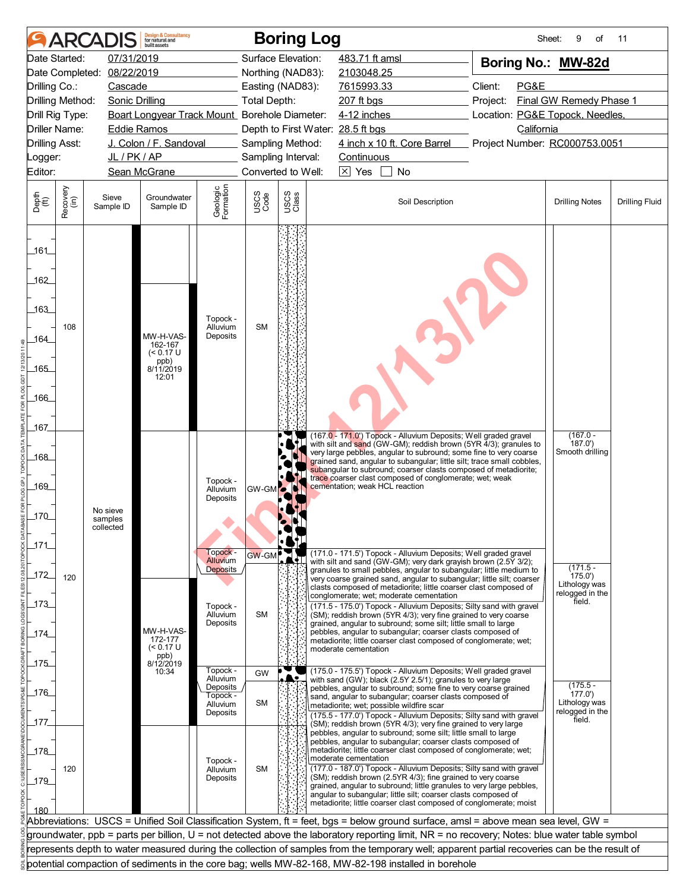|                                                    | <b>ARCA</b>      |                                  | <b>Design &amp; Consultancy</b><br>for natural and<br>built assets |                                  |                     | <b>Boring Log</b>                        |                                                                                                                                                                                                                                                                                                                                                                                                                                                                                                                                                                                | Sheet:                                      | 9<br>of                               | 11                    |
|----------------------------------------------------|------------------|----------------------------------|--------------------------------------------------------------------|----------------------------------|---------------------|------------------------------------------|--------------------------------------------------------------------------------------------------------------------------------------------------------------------------------------------------------------------------------------------------------------------------------------------------------------------------------------------------------------------------------------------------------------------------------------------------------------------------------------------------------------------------------------------------------------------------------|---------------------------------------------|---------------------------------------|-----------------------|
| Date Started:                                      |                  | 07/31/2019                       |                                                                    |                                  |                     | Surface Elevation:                       | 483.71 ft amsl                                                                                                                                                                                                                                                                                                                                                                                                                                                                                                                                                                 | Boring No.: MW-82d                          |                                       |                       |
| Date Completed:                                    |                  | 08/22/2019                       |                                                                    |                                  |                     | Northing (NAD83):                        | 2103048.25                                                                                                                                                                                                                                                                                                                                                                                                                                                                                                                                                                     |                                             |                                       |                       |
| Drilling Co.:                                      |                  | Cascade                          |                                                                    |                                  |                     | Easting (NAD83):                         | 7615993.33                                                                                                                                                                                                                                                                                                                                                                                                                                                                                                                                                                     | Client:<br>PG&E                             |                                       |                       |
| Drilling Method:                                   |                  | Sonic Drilling                   |                                                                    |                                  | <b>Total Depth:</b> |                                          | 207 ft bgs                                                                                                                                                                                                                                                                                                                                                                                                                                                                                                                                                                     | Project:                                    | Final GW Remedy Phase 1               |                       |
| Drill Rig Type:                                    |                  |                                  | Boart Longyear Track Mount_Borehole Diameter:                      |                                  |                     |                                          | 4-12 inches                                                                                                                                                                                                                                                                                                                                                                                                                                                                                                                                                                    | Location: PG&E Topock, Needles,             |                                       |                       |
| Driller Name:                                      |                  | <b>Eddie Ramos</b>               |                                                                    |                                  |                     | Depth to First Water: 28.5 ft bgs        |                                                                                                                                                                                                                                                                                                                                                                                                                                                                                                                                                                                | California<br>Project Number: RC000753.0051 |                                       |                       |
| <b>Drilling Asst:</b>                              |                  | JL / PK / AP                     | J. Colon / F. Sandoval                                             |                                  |                     | Sampling Method:                         | 4 inch x 10 ft. Core Barrel                                                                                                                                                                                                                                                                                                                                                                                                                                                                                                                                                    |                                             |                                       |                       |
| Logger:<br>Editor:                                 |                  |                                  | Sean McGrane                                                       |                                  |                     | Sampling Interval:<br>Converted to Well: | Continuous<br>$\boxtimes$ Yes<br>No                                                                                                                                                                                                                                                                                                                                                                                                                                                                                                                                            |                                             |                                       |                       |
|                                                    |                  |                                  |                                                                    |                                  |                     |                                          |                                                                                                                                                                                                                                                                                                                                                                                                                                                                                                                                                                                |                                             |                                       |                       |
| Depth<br>$\widetilde{f(t)}$                        | Recovery<br>(in) | Sieve<br>Sample ID               | Groundwater<br>Sample ID                                           | Geologic<br>Formation            | USCS<br>Code        | USCS<br>Class                            | Soil Description                                                                                                                                                                                                                                                                                                                                                                                                                                                                                                                                                               |                                             | <b>Drilling Notes</b>                 | <b>Drilling Fluid</b> |
| _161_<br>162<br>163<br>164<br>$-165$<br>166<br>167 | 108              |                                  | MW-H-VAS-<br>162-167<br>$(< 0.17$ U<br>ppb)<br>8/11/2019<br>12:01  | Topock -<br>Alluvium<br>Deposits | <b>SM</b>           |                                          | (167.0 - 171.0') Topock - Alluvium Deposits; Well graded gravel                                                                                                                                                                                                                                                                                                                                                                                                                                                                                                                |                                             | $(167.0 -$                            |                       |
| _168_<br>169<br>$\_170$<br>_171                    |                  | No sieve<br>samples<br>collected |                                                                    | Topock -<br>Alluvium<br>Deposits | <b>GW-GM</b>        |                                          | with silt and sand (GW-GM); reddish brown (5YR 4/3); granules to<br>very large pebbles, angular to subround; some fine to very coarse<br>grained sand, angular to subangular; little silt; trace small cobbles,<br>subangular to subround; coarser clasts composed of metadiorite;<br>trace coarser clast composed of conglomerate; wet; weak<br>cementation; weak HCL reaction                                                                                                                                                                                                |                                             | 187.0'<br>Smooth drilling             |                       |
|                                                    |                  |                                  |                                                                    | Topock -<br>Alluvium             | <b>GW-GM</b>        |                                          | (171.0 - 171.5') Topock - Alluvium Deposits; Well graded gravel<br>with silt and sand (GW-GM); very dark grayish brown (2.5Y 3/2);                                                                                                                                                                                                                                                                                                                                                                                                                                             |                                             |                                       |                       |
| $172$                                              | 120              |                                  |                                                                    | Deposits                         |                     |                                          | granules to small pebbles, angular to subangular; little medium to<br>very coarse grained sand, angular to subangular; little silt; coarser<br>clasts composed of metadiorite; little coarser clast composed of                                                                                                                                                                                                                                                                                                                                                                |                                             | $(171.5 -$<br>175.0'<br>Lithology was |                       |
| $-173$                                             |                  |                                  |                                                                    |                                  |                     |                                          | conglomerate; wet; moderate cementation<br>(171.5 - 175.0') Topock - Alluvium Deposits; Silty sand with gravel                                                                                                                                                                                                                                                                                                                                                                                                                                                                 |                                             | relogged in the<br>field.             |                       |
| _174_                                              |                  |                                  | MW-H-VAS-<br>172-177<br>$(< 0.17$ U                                | Topock -<br>Alluvium<br>Deposits | <b>SM</b>           |                                          | (SM); reddish brown (5YR 4/3); very fine grained to very coarse<br>grained, angular to subround; some silt; little small to large<br>pebbles, angular to subangular; coarser clasts composed of<br>metadiorite; little coarser clast composed of conglomerate; wet;                                                                                                                                                                                                                                                                                                            |                                             |                                       |                       |
| 175                                                |                  |                                  | ppb)<br>8/12/2019                                                  |                                  |                     |                                          | moderate cementation                                                                                                                                                                                                                                                                                                                                                                                                                                                                                                                                                           |                                             |                                       |                       |
|                                                    |                  |                                  | 10:34                                                              | Topock -<br>Alluvium             | GW                  |                                          | (175.0 - 175.5') Topock - Alluvium Deposits; Well graded gravel<br>with sand (GW); black (2.5Y 2.5/1); granules to very large                                                                                                                                                                                                                                                                                                                                                                                                                                                  |                                             |                                       |                       |
| 176                                                |                  |                                  |                                                                    | Deposits                         |                     |                                          | pebbles, angular to subround; some fine to very coarse grained                                                                                                                                                                                                                                                                                                                                                                                                                                                                                                                 |                                             | $(175.5 -$<br>177.0'                  |                       |
|                                                    |                  |                                  |                                                                    | Topock -<br>Alluvium             | <b>SM</b>           |                                          | sand, angular to subangular; coarser clasts composed of<br>metadiorite; wet; possible wildfire scar                                                                                                                                                                                                                                                                                                                                                                                                                                                                            |                                             | Lithology was                         |                       |
| _177.                                              |                  |                                  |                                                                    | Deposits                         |                     |                                          | (175.5 - 177.0') Topock - Alluvium Deposits; Silty sand with gravel<br>(SM); reddish brown (5YR 4/3); very fine grained to very large                                                                                                                                                                                                                                                                                                                                                                                                                                          |                                             | relogged in the<br>field.             |                       |
| 178<br>_179_<br>180                                | 120              |                                  |                                                                    | Topock -<br>Alluvium<br>Deposits | <b>SM</b>           |                                          | pebbles, angular to subround; some silt; little small to large<br>pebbles, angular to subangular; coarser clasts composed of<br>metadiorite; little coarser clast composed of conglomerate; wet;<br>moderate cementation<br>(177.0 - 187.0') Topock - Alluvium Deposits; Silty sand with gravel<br>(SM); reddish brown (2.5YR 4/3); fine grained to very coarse<br>grained, angular to subround; little granules to very large pebbles,<br>angular to subangular; little silt; coarser clasts composed of<br>metadiorite; little coarser clast composed of conglomerate; moist |                                             |                                       |                       |
|                                                    |                  |                                  |                                                                    |                                  |                     |                                          | Abbreviations: USCS = Unified Soil Classification System, ft = feet, bgs = below ground surface, amsl = above mean sea level, GW =                                                                                                                                                                                                                                                                                                                                                                                                                                             |                                             |                                       |                       |
|                                                    |                  |                                  |                                                                    |                                  |                     |                                          | groundwater, ppb = parts per billion, U = not detected above the laboratory reporting limit, NR = no recovery; Notes: blue water table symbol                                                                                                                                                                                                                                                                                                                                                                                                                                  |                                             |                                       |                       |
|                                                    |                  |                                  |                                                                    |                                  |                     |                                          | represents depth to water measured during the collection of samples from the temporary well; apparent partial recoveries can be the result of                                                                                                                                                                                                                                                                                                                                                                                                                                  |                                             |                                       |                       |
|                                                    |                  |                                  |                                                                    |                                  |                     |                                          | potential compaction of sediments in the core bag; wells MW-82-168, MW-82-198 installed in borehole                                                                                                                                                                                                                                                                                                                                                                                                                                                                            |                                             |                                       |                       |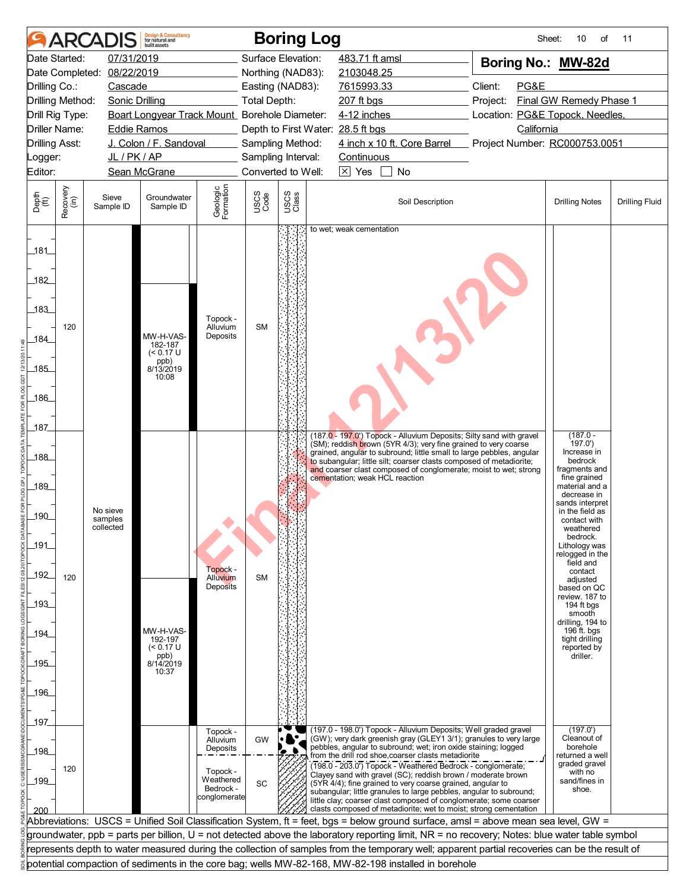| 07/31/2019<br>Surface Elevation:<br>483.71 ft amsl<br>Date Started:<br>Boring No.: MW-82d<br>08/22/2019<br>Northing (NAD83):<br>2103048.25<br>Client:<br>PG&E<br>Cascade<br>Easting (NAD83):<br>7615993.33<br><b>Total Depth:</b><br>Final GW Remedy Phase 1<br><b>Sonic Drilling</b><br>$207$ ft bgs<br>Project:<br>Boart Longyear Track Mount_Borehole Diameter:<br>4-12 inches<br>Location: PG&E Topock, Needles,<br>California<br><b>Eddie Ramos</b><br>Depth to First Water: 28.5 ft bgs<br>J. Colon / F. Sandoval<br>4 inch x 10 ft. Core Barrel<br>Project Number: RC000753.0051<br><b>Drilling Asst:</b><br>Sampling Method:<br>JL/PK/AP<br>Sampling Interval:<br>Continuous<br>Logger:<br>Converted to Well:<br>$\boxtimes$ Yes<br>No<br>Editor:<br>Sean McGrane<br>Geologic<br>Formation<br>Recovery<br>(in)<br>USCS<br>Class<br>USCS<br>Code<br>Sieve<br>Groundwater<br>Soil Description<br><b>Drilling Fluid</b><br><b>Drilling Notes</b><br>Sample ID<br>Sample ID<br>to wet; weak cementation<br>Topock -<br><b>SM</b><br>120<br>Alluvium<br>Deposits<br>MW-H-VAS-<br>182-187<br>$(< 0.17$ U<br>ppb)<br>8/13/2019<br>10:08<br>$(187.0 -$<br>(187.0 - 197.0') Topock - Alluvium Deposits; Silty sand with gravel<br>(SM); reddish brown (5YR 4/3); very fine grained to very coarse<br>197.0'<br>Increase in<br>grained, angular to subround; little small to large pebbles, angular<br>to subangular; little silt; coarser clasts composed of metadiorite;<br>bedrock<br>and coarser clast composed of conglomerate; moist to wet; strong<br>fragments and<br>fine grained<br>cementation; weak HCL reaction<br>material and a<br>decrease in<br>sands interpret<br>in the field as<br>No sieve<br>samples<br>contact with<br>collected<br>weatnered<br>bedrock.<br>Lithology was<br>relogged in the<br>field and<br>Topock -<br>contact<br>120<br>Alluvium<br><b>SM</b><br>adjusted<br><b>Deposits</b><br>based on QC<br>review. 187 to<br>194 ft bgs<br>smooth<br>drilling, 194 to<br>196 ft. bgs<br>MW-H-VAS-<br>192-197<br>tight drilling<br>$(< 0.17$ U<br>reported by<br>driller.<br>ppb)<br>8/14/2019<br>10:37<br>(197.0')<br>(197.0 - 198.0') Topock - Alluvium Deposits; Well graded gravel<br>Topock -<br>(GW); very dark greenish gray (GLEY1 3/1); granules to very large<br>Cleanout of<br>GW<br>Alluvium<br>pebbles, angular to subround; wet; iron oxide staining; logged<br>borehole<br>Deposits<br>from the drill rod shoe, coarser clasts metadiorite<br>returned a well<br>graded gravel<br>(198.0 - 203.0') Topock - Weathered Bedrock - conglomerate;<br>120<br>Topock -<br>with no<br>Clayey sand with gravel (SC); reddish brown / moderate brown<br>Weathered<br>sand/fines in<br>SC<br>(5YR 4/4); fine grained to very coarse grained, angular to<br>Bedrock -<br>shoe.<br>subangular; little granules to large pebbles, angular to subround;<br>conglomerate<br>little clay; coarser clast composed of conglomerate; some coarser<br>clasts composed of metadiorite; wet to moist; strong cementation<br>Abbreviations: USCS = Unified Soil Classification System, ft = feet, bgs = below ground surface, amsl = above mean sea level, GW =<br>groundwater, ppb = parts per billion, U = not detected above the laboratory reporting limit, NR = no recovery; Notes: blue water table symbol<br>represents depth to water measured during the collection of samples from the temporary well; apparent partial recoveries can be the result of |                                                                                                                               | <b>ARCA</b> |  | <b>Design &amp; Consultancy</b><br>for natural and<br>built assets |  |  | <b>Boring Log</b> |  |  |  | Sheet: | 10<br>οf | 11 |
|---------------------------------------------------------------------------------------------------------------------------------------------------------------------------------------------------------------------------------------------------------------------------------------------------------------------------------------------------------------------------------------------------------------------------------------------------------------------------------------------------------------------------------------------------------------------------------------------------------------------------------------------------------------------------------------------------------------------------------------------------------------------------------------------------------------------------------------------------------------------------------------------------------------------------------------------------------------------------------------------------------------------------------------------------------------------------------------------------------------------------------------------------------------------------------------------------------------------------------------------------------------------------------------------------------------------------------------------------------------------------------------------------------------------------------------------------------------------------------------------------------------------------------------------------------------------------------------------------------------------------------------------------------------------------------------------------------------------------------------------------------------------------------------------------------------------------------------------------------------------------------------------------------------------------------------------------------------------------------------------------------------------------------------------------------------------------------------------------------------------------------------------------------------------------------------------------------------------------------------------------------------------------------------------------------------------------------------------------------------------------------------------------------------------------------------------------------------------------------------------------------------------------------------------------------------------------------------------------------------------------------------------------------------------------------------------------------------------------------------------------------------------------------------------------------------------------------------------------------------------------------------------------------------------------------------------------------------------------------------------------------------------------------------------------------------------------------------------------------------------------------------------------------------------------------------------------------------------------------------------------------------------------------------------------------------------------------------------------------------------------------------------------------------------------------------------------------------------------------------|-------------------------------------------------------------------------------------------------------------------------------|-------------|--|--------------------------------------------------------------------|--|--|-------------------|--|--|--|--------|----------|----|
|                                                                                                                                                                                                                                                                                                                                                                                                                                                                                                                                                                                                                                                                                                                                                                                                                                                                                                                                                                                                                                                                                                                                                                                                                                                                                                                                                                                                                                                                                                                                                                                                                                                                                                                                                                                                                                                                                                                                                                                                                                                                                                                                                                                                                                                                                                                                                                                                                                                                                                                                                                                                                                                                                                                                                                                                                                                                                                                                                                                                                                                                                                                                                                                                                                                                                                                                                                                                                                                                                       |                                                                                                                               |             |  |                                                                    |  |  |                   |  |  |  |        |          |    |
|                                                                                                                                                                                                                                                                                                                                                                                                                                                                                                                                                                                                                                                                                                                                                                                                                                                                                                                                                                                                                                                                                                                                                                                                                                                                                                                                                                                                                                                                                                                                                                                                                                                                                                                                                                                                                                                                                                                                                                                                                                                                                                                                                                                                                                                                                                                                                                                                                                                                                                                                                                                                                                                                                                                                                                                                                                                                                                                                                                                                                                                                                                                                                                                                                                                                                                                                                                                                                                                                                       | Date Completed:                                                                                                               |             |  |                                                                    |  |  |                   |  |  |  |        |          |    |
|                                                                                                                                                                                                                                                                                                                                                                                                                                                                                                                                                                                                                                                                                                                                                                                                                                                                                                                                                                                                                                                                                                                                                                                                                                                                                                                                                                                                                                                                                                                                                                                                                                                                                                                                                                                                                                                                                                                                                                                                                                                                                                                                                                                                                                                                                                                                                                                                                                                                                                                                                                                                                                                                                                                                                                                                                                                                                                                                                                                                                                                                                                                                                                                                                                                                                                                                                                                                                                                                                       | Drilling Co.:                                                                                                                 |             |  |                                                                    |  |  |                   |  |  |  |        |          |    |
|                                                                                                                                                                                                                                                                                                                                                                                                                                                                                                                                                                                                                                                                                                                                                                                                                                                                                                                                                                                                                                                                                                                                                                                                                                                                                                                                                                                                                                                                                                                                                                                                                                                                                                                                                                                                                                                                                                                                                                                                                                                                                                                                                                                                                                                                                                                                                                                                                                                                                                                                                                                                                                                                                                                                                                                                                                                                                                                                                                                                                                                                                                                                                                                                                                                                                                                                                                                                                                                                                       | Drilling Method:                                                                                                              |             |  |                                                                    |  |  |                   |  |  |  |        |          |    |
|                                                                                                                                                                                                                                                                                                                                                                                                                                                                                                                                                                                                                                                                                                                                                                                                                                                                                                                                                                                                                                                                                                                                                                                                                                                                                                                                                                                                                                                                                                                                                                                                                                                                                                                                                                                                                                                                                                                                                                                                                                                                                                                                                                                                                                                                                                                                                                                                                                                                                                                                                                                                                                                                                                                                                                                                                                                                                                                                                                                                                                                                                                                                                                                                                                                                                                                                                                                                                                                                                       | Drill Rig Type:                                                                                                               |             |  |                                                                    |  |  |                   |  |  |  |        |          |    |
|                                                                                                                                                                                                                                                                                                                                                                                                                                                                                                                                                                                                                                                                                                                                                                                                                                                                                                                                                                                                                                                                                                                                                                                                                                                                                                                                                                                                                                                                                                                                                                                                                                                                                                                                                                                                                                                                                                                                                                                                                                                                                                                                                                                                                                                                                                                                                                                                                                                                                                                                                                                                                                                                                                                                                                                                                                                                                                                                                                                                                                                                                                                                                                                                                                                                                                                                                                                                                                                                                       | Driller Name:                                                                                                                 |             |  |                                                                    |  |  |                   |  |  |  |        |          |    |
|                                                                                                                                                                                                                                                                                                                                                                                                                                                                                                                                                                                                                                                                                                                                                                                                                                                                                                                                                                                                                                                                                                                                                                                                                                                                                                                                                                                                                                                                                                                                                                                                                                                                                                                                                                                                                                                                                                                                                                                                                                                                                                                                                                                                                                                                                                                                                                                                                                                                                                                                                                                                                                                                                                                                                                                                                                                                                                                                                                                                                                                                                                                                                                                                                                                                                                                                                                                                                                                                                       |                                                                                                                               |             |  |                                                                    |  |  |                   |  |  |  |        |          |    |
|                                                                                                                                                                                                                                                                                                                                                                                                                                                                                                                                                                                                                                                                                                                                                                                                                                                                                                                                                                                                                                                                                                                                                                                                                                                                                                                                                                                                                                                                                                                                                                                                                                                                                                                                                                                                                                                                                                                                                                                                                                                                                                                                                                                                                                                                                                                                                                                                                                                                                                                                                                                                                                                                                                                                                                                                                                                                                                                                                                                                                                                                                                                                                                                                                                                                                                                                                                                                                                                                                       |                                                                                                                               |             |  |                                                                    |  |  |                   |  |  |  |        |          |    |
|                                                                                                                                                                                                                                                                                                                                                                                                                                                                                                                                                                                                                                                                                                                                                                                                                                                                                                                                                                                                                                                                                                                                                                                                                                                                                                                                                                                                                                                                                                                                                                                                                                                                                                                                                                                                                                                                                                                                                                                                                                                                                                                                                                                                                                                                                                                                                                                                                                                                                                                                                                                                                                                                                                                                                                                                                                                                                                                                                                                                                                                                                                                                                                                                                                                                                                                                                                                                                                                                                       |                                                                                                                               |             |  |                                                                    |  |  |                   |  |  |  |        |          |    |
|                                                                                                                                                                                                                                                                                                                                                                                                                                                                                                                                                                                                                                                                                                                                                                                                                                                                                                                                                                                                                                                                                                                                                                                                                                                                                                                                                                                                                                                                                                                                                                                                                                                                                                                                                                                                                                                                                                                                                                                                                                                                                                                                                                                                                                                                                                                                                                                                                                                                                                                                                                                                                                                                                                                                                                                                                                                                                                                                                                                                                                                                                                                                                                                                                                                                                                                                                                                                                                                                                       | Depth<br>(ft)                                                                                                                 |             |  |                                                                    |  |  |                   |  |  |  |        |          |    |
|                                                                                                                                                                                                                                                                                                                                                                                                                                                                                                                                                                                                                                                                                                                                                                                                                                                                                                                                                                                                                                                                                                                                                                                                                                                                                                                                                                                                                                                                                                                                                                                                                                                                                                                                                                                                                                                                                                                                                                                                                                                                                                                                                                                                                                                                                                                                                                                                                                                                                                                                                                                                                                                                                                                                                                                                                                                                                                                                                                                                                                                                                                                                                                                                                                                                                                                                                                                                                                                                                       | _181_<br>182<br>183<br>184<br>185<br>186<br>187<br>_188_<br>189<br>$-190$<br>191<br>$-192$<br>$193$<br>_194_<br>195<br>$-196$ |             |  |                                                                    |  |  |                   |  |  |  |        |          |    |
|                                                                                                                                                                                                                                                                                                                                                                                                                                                                                                                                                                                                                                                                                                                                                                                                                                                                                                                                                                                                                                                                                                                                                                                                                                                                                                                                                                                                                                                                                                                                                                                                                                                                                                                                                                                                                                                                                                                                                                                                                                                                                                                                                                                                                                                                                                                                                                                                                                                                                                                                                                                                                                                                                                                                                                                                                                                                                                                                                                                                                                                                                                                                                                                                                                                                                                                                                                                                                                                                                       | _197_<br>_198_                                                                                                                |             |  |                                                                    |  |  |                   |  |  |  |        |          |    |
|                                                                                                                                                                                                                                                                                                                                                                                                                                                                                                                                                                                                                                                                                                                                                                                                                                                                                                                                                                                                                                                                                                                                                                                                                                                                                                                                                                                                                                                                                                                                                                                                                                                                                                                                                                                                                                                                                                                                                                                                                                                                                                                                                                                                                                                                                                                                                                                                                                                                                                                                                                                                                                                                                                                                                                                                                                                                                                                                                                                                                                                                                                                                                                                                                                                                                                                                                                                                                                                                                       | 199<br>200                                                                                                                    |             |  |                                                                    |  |  |                   |  |  |  |        |          |    |
|                                                                                                                                                                                                                                                                                                                                                                                                                                                                                                                                                                                                                                                                                                                                                                                                                                                                                                                                                                                                                                                                                                                                                                                                                                                                                                                                                                                                                                                                                                                                                                                                                                                                                                                                                                                                                                                                                                                                                                                                                                                                                                                                                                                                                                                                                                                                                                                                                                                                                                                                                                                                                                                                                                                                                                                                                                                                                                                                                                                                                                                                                                                                                                                                                                                                                                                                                                                                                                                                                       |                                                                                                                               |             |  |                                                                    |  |  |                   |  |  |  |        |          |    |
|                                                                                                                                                                                                                                                                                                                                                                                                                                                                                                                                                                                                                                                                                                                                                                                                                                                                                                                                                                                                                                                                                                                                                                                                                                                                                                                                                                                                                                                                                                                                                                                                                                                                                                                                                                                                                                                                                                                                                                                                                                                                                                                                                                                                                                                                                                                                                                                                                                                                                                                                                                                                                                                                                                                                                                                                                                                                                                                                                                                                                                                                                                                                                                                                                                                                                                                                                                                                                                                                                       |                                                                                                                               |             |  |                                                                    |  |  |                   |  |  |  |        |          |    |
|                                                                                                                                                                                                                                                                                                                                                                                                                                                                                                                                                                                                                                                                                                                                                                                                                                                                                                                                                                                                                                                                                                                                                                                                                                                                                                                                                                                                                                                                                                                                                                                                                                                                                                                                                                                                                                                                                                                                                                                                                                                                                                                                                                                                                                                                                                                                                                                                                                                                                                                                                                                                                                                                                                                                                                                                                                                                                                                                                                                                                                                                                                                                                                                                                                                                                                                                                                                                                                                                                       |                                                                                                                               |             |  |                                                                    |  |  |                   |  |  |  |        |          |    |
| potential compaction of sediments in the core bag; wells MW-82-168, MW-82-198 installed in borehole                                                                                                                                                                                                                                                                                                                                                                                                                                                                                                                                                                                                                                                                                                                                                                                                                                                                                                                                                                                                                                                                                                                                                                                                                                                                                                                                                                                                                                                                                                                                                                                                                                                                                                                                                                                                                                                                                                                                                                                                                                                                                                                                                                                                                                                                                                                                                                                                                                                                                                                                                                                                                                                                                                                                                                                                                                                                                                                                                                                                                                                                                                                                                                                                                                                                                                                                                                                   |                                                                                                                               |             |  |                                                                    |  |  |                   |  |  |  |        |          |    |